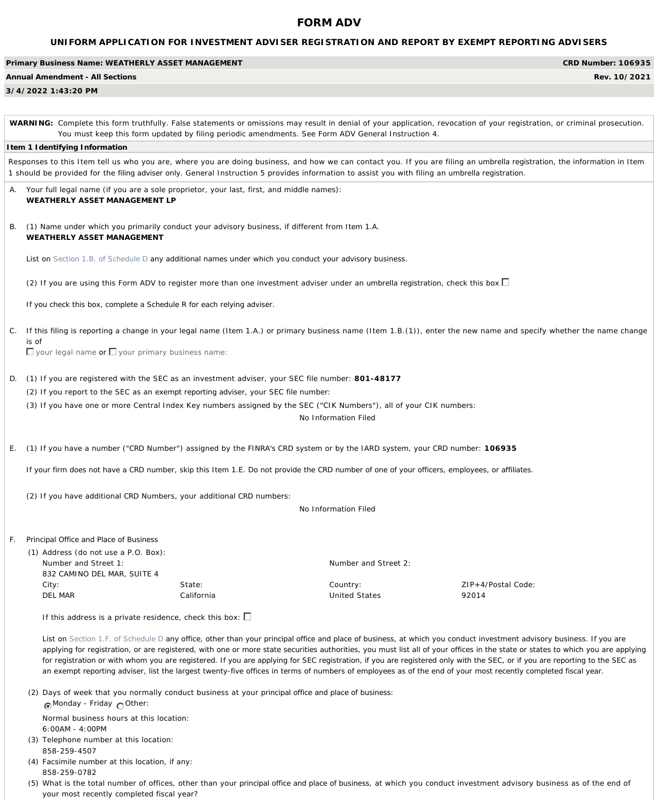# **FORM ADV**

# **UNIFORM APPLICATION FOR INVESTMENT ADVISER REGISTRATION AND REPORT BY EXEMPT REPORTING ADVISERS**

| Primary Business Name: WEATHERLY ASSET MANAGEMENT | <b>CRD Number: 106935</b> |
|---------------------------------------------------|---------------------------|
| Annual Amendment - All Sections                   | Rev. 10/2021              |
| 3/4/2022 1:43:20 PM                               |                           |

|     |                                                                                                                                                                                        |                      | You must keep this form updated by filing periodic amendments. See Form ADV General Instruction 4.                                               | WARNING: Complete this form truthfully. False statements or omissions may result in denial of your application, revocation of your registration, or criminal prosecution.                                                                                                                                                                                                                                                                                                                                                                                                                                                                                                                              |  |
|-----|----------------------------------------------------------------------------------------------------------------------------------------------------------------------------------------|----------------------|--------------------------------------------------------------------------------------------------------------------------------------------------|--------------------------------------------------------------------------------------------------------------------------------------------------------------------------------------------------------------------------------------------------------------------------------------------------------------------------------------------------------------------------------------------------------------------------------------------------------------------------------------------------------------------------------------------------------------------------------------------------------------------------------------------------------------------------------------------------------|--|
|     | I tem 1 I dentifying Information                                                                                                                                                       |                      |                                                                                                                                                  |                                                                                                                                                                                                                                                                                                                                                                                                                                                                                                                                                                                                                                                                                                        |  |
|     |                                                                                                                                                                                        |                      | 1 should be provided for the filing adviser only. General Instruction 5 provides information to assist you with filing an umbrella registration. | Responses to this Item tell us who you are, where you are doing business, and how we can contact you. If you are filing an umbrella registration, the information in Item                                                                                                                                                                                                                                                                                                                                                                                                                                                                                                                              |  |
|     | A. Your full legal name (if you are a sole proprietor, your last, first, and middle names):<br>WEATHERLY ASSET MANAGEMENT LP                                                           |                      |                                                                                                                                                  |                                                                                                                                                                                                                                                                                                                                                                                                                                                                                                                                                                                                                                                                                                        |  |
| B.  | (1) Name under which you primarily conduct your advisory business, if different from Item 1.A.<br>WEATHERLY ASSET MANAGEMENT                                                           |                      |                                                                                                                                                  |                                                                                                                                                                                                                                                                                                                                                                                                                                                                                                                                                                                                                                                                                                        |  |
|     | List on Section 1.B. of Schedule D any additional names under which you conduct your advisory business.                                                                                |                      |                                                                                                                                                  |                                                                                                                                                                                                                                                                                                                                                                                                                                                                                                                                                                                                                                                                                                        |  |
|     |                                                                                                                                                                                        |                      | (2) If you are using this Form ADV to register more than one investment adviser under an umbrella registration, check this box $\Box$            |                                                                                                                                                                                                                                                                                                                                                                                                                                                                                                                                                                                                                                                                                                        |  |
|     | If you check this box, complete a Schedule R for each relying adviser.                                                                                                                 |                      |                                                                                                                                                  |                                                                                                                                                                                                                                                                                                                                                                                                                                                                                                                                                                                                                                                                                                        |  |
|     | is of<br>$\Box$ your legal name or $\Box$ your primary business name:                                                                                                                  |                      |                                                                                                                                                  | C. If this filing is reporting a change in your legal name (Item 1.A.) or primary business name (Item 1.B.(1)), enter the new name and specify whether the name change                                                                                                                                                                                                                                                                                                                                                                                                                                                                                                                                 |  |
| D.  | (1) If you are registered with the SEC as an investment adviser, your SEC file number: 801-48177<br>(2) If you report to the SEC as an exempt reporting adviser, your SEC file number: |                      | (3) If you have one or more Central Index Key numbers assigned by the SEC ("CIK Numbers"), all of your CIK numbers:<br>No Information Filed      |                                                                                                                                                                                                                                                                                                                                                                                                                                                                                                                                                                                                                                                                                                        |  |
| E., |                                                                                                                                                                                        |                      | (1) If you have a number ("CRD Number") assigned by the FINRA's CRD system or by the IARD system, your CRD number: 106935                        |                                                                                                                                                                                                                                                                                                                                                                                                                                                                                                                                                                                                                                                                                                        |  |
|     |                                                                                                                                                                                        |                      | If your firm does not have a CRD number, skip this Item 1.E. Do not provide the CRD number of one of your officers, employees, or affiliates.    |                                                                                                                                                                                                                                                                                                                                                                                                                                                                                                                                                                                                                                                                                                        |  |
|     | (2) If you have additional CRD Numbers, your additional CRD numbers:                                                                                                                   |                      |                                                                                                                                                  |                                                                                                                                                                                                                                                                                                                                                                                                                                                                                                                                                                                                                                                                                                        |  |
|     |                                                                                                                                                                                        |                      | No Information Filed                                                                                                                             |                                                                                                                                                                                                                                                                                                                                                                                                                                                                                                                                                                                                                                                                                                        |  |
| F.  | Principal Office and Place of Business                                                                                                                                                 |                      |                                                                                                                                                  |                                                                                                                                                                                                                                                                                                                                                                                                                                                                                                                                                                                                                                                                                                        |  |
|     | (1) Address (do not use a P.O. Box):<br>Number and Street 1:<br>832 CAMINO DEL MAR, SUITE 4                                                                                            |                      | Number and Street 2:                                                                                                                             |                                                                                                                                                                                                                                                                                                                                                                                                                                                                                                                                                                                                                                                                                                        |  |
|     | City:<br><b>DEL MAR</b>                                                                                                                                                                | State:<br>California | Country:<br><b>United States</b>                                                                                                                 | $ZIP+4/Postal Code:$<br>92014                                                                                                                                                                                                                                                                                                                                                                                                                                                                                                                                                                                                                                                                          |  |
|     | If this address is a private residence, check this box: $\square$                                                                                                                      |                      |                                                                                                                                                  |                                                                                                                                                                                                                                                                                                                                                                                                                                                                                                                                                                                                                                                                                                        |  |
|     |                                                                                                                                                                                        |                      |                                                                                                                                                  | List on Section 1.F. of Schedule D any office, other than your principal office and place of business, at which you conduct investment advisory business. If you are<br>applying for registration, or are registered, with one or more state securities authorities, you must list all of your offices in the state or states to which you are applying<br>for registration or with whom you are registered. If you are applying for SEC registration, if you are registered only with the SEC, or if you are reporting to the SEC as<br>an exempt reporting adviser, list the largest twenty-five offices in terms of numbers of employees as of the end of your most recently completed fiscal year. |  |
|     | (2) Days of week that you normally conduct business at your principal office and place of business:<br>other: Other:                                                                   |                      |                                                                                                                                                  |                                                                                                                                                                                                                                                                                                                                                                                                                                                                                                                                                                                                                                                                                                        |  |
|     | Normal business hours at this location:                                                                                                                                                |                      |                                                                                                                                                  |                                                                                                                                                                                                                                                                                                                                                                                                                                                                                                                                                                                                                                                                                                        |  |

6:00AM - 4:00PM

(3) Telephone number at this location: 858-259-4507

(4) Facsimile number at this location, if any: 858-259-0782

(5) What is the total number of offices, other than your *principal office and place of business*, at which you conduct investment advisory business as of the end of your most recently completed fiscal year?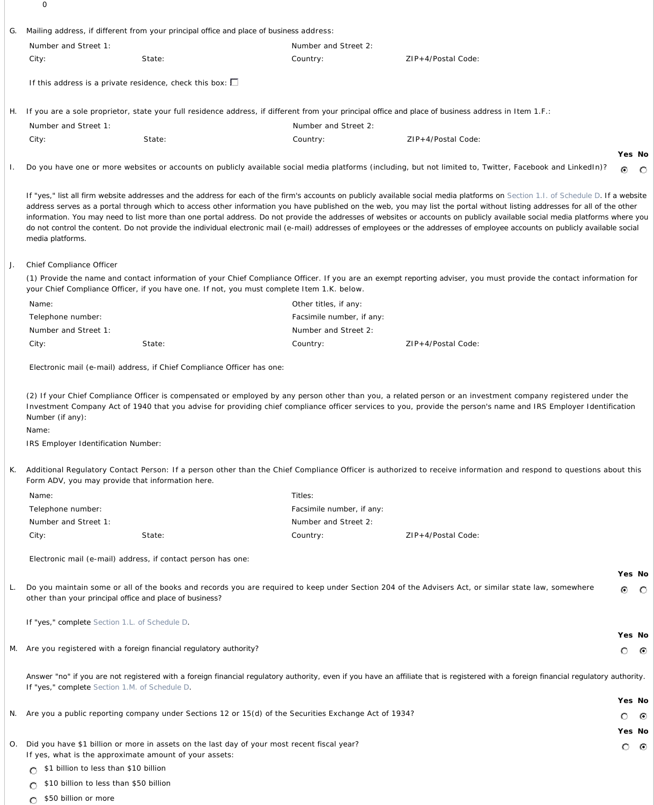| G. | Number and Street 1:                                             |                                                                        | Mailing address, if different from your principal office and place of business address:<br>Number and Street 2: |                                                                                                                                                                                                                                                                                                                                                                                                                                                                                                                                                                                                                                                                                                                                 |         |                 |
|----|------------------------------------------------------------------|------------------------------------------------------------------------|-----------------------------------------------------------------------------------------------------------------|---------------------------------------------------------------------------------------------------------------------------------------------------------------------------------------------------------------------------------------------------------------------------------------------------------------------------------------------------------------------------------------------------------------------------------------------------------------------------------------------------------------------------------------------------------------------------------------------------------------------------------------------------------------------------------------------------------------------------------|---------|-----------------|
|    | City:                                                            | State:                                                                 | Country:                                                                                                        | ZIP+4/Postal Code:                                                                                                                                                                                                                                                                                                                                                                                                                                                                                                                                                                                                                                                                                                              |         |                 |
|    |                                                                  | If this address is a private residence, check this box: $\square$      |                                                                                                                 |                                                                                                                                                                                                                                                                                                                                                                                                                                                                                                                                                                                                                                                                                                                                 |         |                 |
| Н. |                                                                  |                                                                        |                                                                                                                 | If you are a sole proprietor, state your full residence address, if different from your principal office and place of business address in Item 1.F.:                                                                                                                                                                                                                                                                                                                                                                                                                                                                                                                                                                            |         |                 |
|    | Number and Street 1:                                             |                                                                        | Number and Street 2:                                                                                            |                                                                                                                                                                                                                                                                                                                                                                                                                                                                                                                                                                                                                                                                                                                                 |         |                 |
|    | City:                                                            | State:                                                                 | Country:                                                                                                        | ZIP+4/Postal Code:                                                                                                                                                                                                                                                                                                                                                                                                                                                                                                                                                                                                                                                                                                              |         |                 |
|    |                                                                  |                                                                        |                                                                                                                 |                                                                                                                                                                                                                                                                                                                                                                                                                                                                                                                                                                                                                                                                                                                                 |         | Yes No          |
|    |                                                                  |                                                                        |                                                                                                                 | Do you have one or more websites or accounts on publicly available social media platforms (including, but not limited to, Twitter, Facebook and LinkedIn)?                                                                                                                                                                                                                                                                                                                                                                                                                                                                                                                                                                      | $\odot$ | $\circ$         |
|    | media platforms.                                                 |                                                                        |                                                                                                                 | If "yes," list all firm website addresses and the address for each of the firm's accounts on publicly available social media platforms on Section 1.1. of Schedule D. If a website<br>address serves as a portal through which to access other information you have published on the web, you may list the portal without listing addresses for all of the other<br>information. You may need to list more than one portal address. Do not provide the addresses of websites or accounts on publicly available social media platforms where you<br>do not control the content. Do not provide the individual electronic mail (e-mail) addresses of employees or the addresses of employee accounts on publicly available social |         |                 |
|    | Chief Compliance Officer                                         |                                                                        |                                                                                                                 |                                                                                                                                                                                                                                                                                                                                                                                                                                                                                                                                                                                                                                                                                                                                 |         |                 |
|    |                                                                  |                                                                        | your Chief Compliance Officer, if you have one. If not, you must complete Item 1.K. below.                      | (1) Provide the name and contact information of your Chief Compliance Officer. If you are an exempt reporting adviser, you must provide the contact information for                                                                                                                                                                                                                                                                                                                                                                                                                                                                                                                                                             |         |                 |
|    | Name:                                                            |                                                                        | Other titles, if any:                                                                                           |                                                                                                                                                                                                                                                                                                                                                                                                                                                                                                                                                                                                                                                                                                                                 |         |                 |
|    | Telephone number:                                                |                                                                        | Facsimile number, if any:                                                                                       |                                                                                                                                                                                                                                                                                                                                                                                                                                                                                                                                                                                                                                                                                                                                 |         |                 |
|    | Number and Street 1:                                             |                                                                        | Number and Street 2:                                                                                            |                                                                                                                                                                                                                                                                                                                                                                                                                                                                                                                                                                                                                                                                                                                                 |         |                 |
|    | City:                                                            | State:                                                                 | Country:                                                                                                        | ZIP+4/Postal Code:                                                                                                                                                                                                                                                                                                                                                                                                                                                                                                                                                                                                                                                                                                              |         |                 |
|    |                                                                  | Electronic mail (e-mail) address, if Chief Compliance Officer has one: |                                                                                                                 |                                                                                                                                                                                                                                                                                                                                                                                                                                                                                                                                                                                                                                                                                                                                 |         |                 |
| К. | Number (if any):<br>Name:<br>IRS Employer Identification Number: |                                                                        |                                                                                                                 | Additional Regulatory Contact Person: If a person other than the Chief Compliance Officer is authorized to receive information and respond to questions about this                                                                                                                                                                                                                                                                                                                                                                                                                                                                                                                                                              |         |                 |
|    | Form ADV, you may provide that information here.                 |                                                                        |                                                                                                                 |                                                                                                                                                                                                                                                                                                                                                                                                                                                                                                                                                                                                                                                                                                                                 |         |                 |
|    | Name:                                                            |                                                                        | Titles:                                                                                                         |                                                                                                                                                                                                                                                                                                                                                                                                                                                                                                                                                                                                                                                                                                                                 |         |                 |
|    | Telephone number:                                                |                                                                        | Facsimile number, if any:                                                                                       |                                                                                                                                                                                                                                                                                                                                                                                                                                                                                                                                                                                                                                                                                                                                 |         |                 |
|    | Number and Street 1:                                             |                                                                        | Number and Street 2:                                                                                            |                                                                                                                                                                                                                                                                                                                                                                                                                                                                                                                                                                                                                                                                                                                                 |         |                 |
|    | City:                                                            | State:                                                                 | Country:                                                                                                        | ZIP+4/Postal Code:                                                                                                                                                                                                                                                                                                                                                                                                                                                                                                                                                                                                                                                                                                              |         |                 |
|    |                                                                  | Electronic mail (e-mail) address, if contact person has one:           |                                                                                                                 |                                                                                                                                                                                                                                                                                                                                                                                                                                                                                                                                                                                                                                                                                                                                 |         |                 |
|    |                                                                  |                                                                        |                                                                                                                 |                                                                                                                                                                                                                                                                                                                                                                                                                                                                                                                                                                                                                                                                                                                                 |         | Yes No          |
|    | other than your principal office and place of business?          |                                                                        |                                                                                                                 | Do you maintain some or all of the books and records you are required to keep under Section 204 of the Advisers Act, or similar state law, somewhere                                                                                                                                                                                                                                                                                                                                                                                                                                                                                                                                                                            |         | $\circ$ $\circ$ |
|    | If "yes," complete Section 1.L. of Schedule D.                   |                                                                        |                                                                                                                 |                                                                                                                                                                                                                                                                                                                                                                                                                                                                                                                                                                                                                                                                                                                                 |         | Yes No          |
|    |                                                                  | M. Are you registered with a foreign financial regulatory authority?   |                                                                                                                 |                                                                                                                                                                                                                                                                                                                                                                                                                                                                                                                                                                                                                                                                                                                                 |         | $\circ$ $\circ$ |
|    | If "yes," complete Section 1.M. of Schedule D.                   |                                                                        |                                                                                                                 | Answer "no" if you are not registered with a foreign financial regulatory authority, even if you have an affiliate that is registered with a foreign financial regulatory authority.                                                                                                                                                                                                                                                                                                                                                                                                                                                                                                                                            |         |                 |
|    |                                                                  |                                                                        |                                                                                                                 |                                                                                                                                                                                                                                                                                                                                                                                                                                                                                                                                                                                                                                                                                                                                 |         | Yes No          |
|    |                                                                  |                                                                        | N. Are you a public reporting company under Sections 12 or 15(d) of the Securities Exchange Act of 1934?        |                                                                                                                                                                                                                                                                                                                                                                                                                                                                                                                                                                                                                                                                                                                                 |         | - 0             |
|    |                                                                  |                                                                        |                                                                                                                 |                                                                                                                                                                                                                                                                                                                                                                                                                                                                                                                                                                                                                                                                                                                                 |         | Yes No          |
| О. |                                                                  | If yes, what is the approximate amount of your assets:                 | Did you have \$1 billion or more in assets on the last day of your most recent fiscal year?                     |                                                                                                                                                                                                                                                                                                                                                                                                                                                                                                                                                                                                                                                                                                                                 |         | 0 ⊙             |
|    | \$1 billion to less than \$10 billion                            |                                                                        |                                                                                                                 |                                                                                                                                                                                                                                                                                                                                                                                                                                                                                                                                                                                                                                                                                                                                 |         |                 |
|    | \$10 billion to less than \$50 billion<br>О                      |                                                                        |                                                                                                                 |                                                                                                                                                                                                                                                                                                                                                                                                                                                                                                                                                                                                                                                                                                                                 |         |                 |
|    | \$50 billion or more<br>O                                        |                                                                        |                                                                                                                 |                                                                                                                                                                                                                                                                                                                                                                                                                                                                                                                                                                                                                                                                                                                                 |         |                 |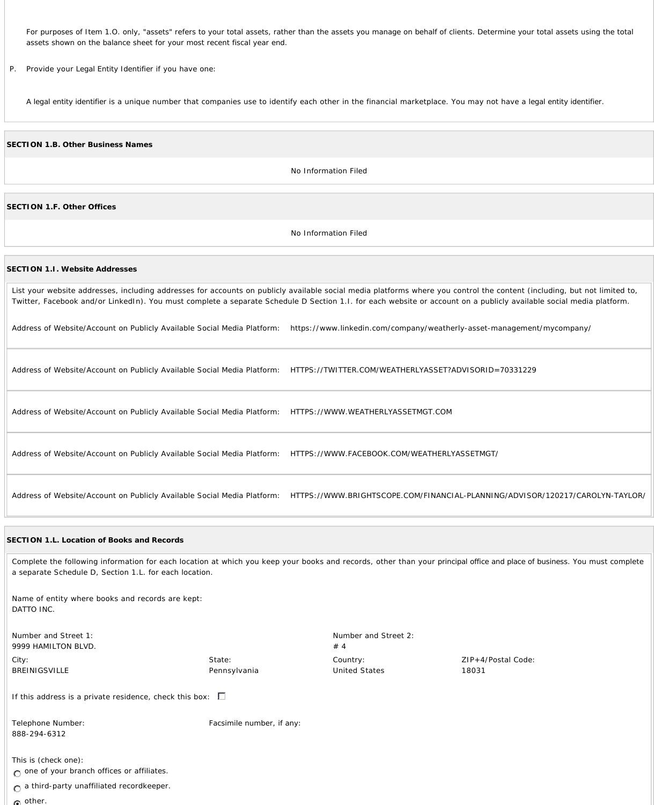*For purposes of Item 1.O. only, "assets" refers to your total assets, rather than the assets you manage on behalf of clients. Determine your total assets using the total assets shown on the balance sheet for your most recent fiscal year end.*

P. Provide your *Legal Entity Identifier* if you have one:

s other.

A *legal entity identifier* is a unique number that companies use to identify each other in the financial marketplace. You may not have a *legal entity identifier*.

**SECTION 1.B. Other Business Names** No Information Filed **SECTION 1.F. Other Offices** No Information Filed **SECTION 1.I. Website Addresses** List your website addresses, including addresses for accounts on publicly available social media platforms where you control the content (including, but not limited to, Twitter, Facebook and/or LinkedIn). You must complete a separate Schedule D Section 1.I. for each website or account on a publicly available social media platform. Address of Website/Account on Publicly Available Social Media Platform: https://www.linkedin.com/company/weatherly-asset-management/mycompany/ Address of Website/Account on Publicly Available Social Media Platform: HTTPS://TWITTER.COM/WEATHERLYASSET?ADVISORID=70331229 Address of Website/Account on Publicly Available Social Media Platform: HTTPS://WWW.WEATHERLYASSETMGT.COM Address of Website/Account on Publicly Available Social Media Platform: HTTPS://WWW.FACEBOOK.COM/WEATHERLYASSETMGT/ Address of Website/Account on Publicly Available Social Media Platform: HTTPS://WWW.BRIGHTSCOPE.COM/FINANCIAL-PLANNING/ADVISOR/120217/CAROLYN-TAYLOR/

| <b>SECTION 1.L. Location of Books and Records</b>              |                           |                            |                                                                                                                                                                          |
|----------------------------------------------------------------|---------------------------|----------------------------|--------------------------------------------------------------------------------------------------------------------------------------------------------------------------|
| a separate Schedule D, Section 1.L. for each location.         |                           |                            | Complete the following information for each location at which you keep your books and records, other than your principal office and place of business. You must complete |
| Name of entity where books and records are kept:<br>DATTO INC. |                           |                            |                                                                                                                                                                          |
| Number and Street 1:<br>9999 HAMILTON BLVD.                    |                           | Number and Street 2:<br>#4 |                                                                                                                                                                          |
| City:                                                          | State:                    | Country:                   | ZIP+4/Postal Code:                                                                                                                                                       |
| BREINIGSVILLE                                                  | Pennsylvania              | <b>United States</b>       | 18031                                                                                                                                                                    |
| If this address is a private residence, check this box: $\Box$ |                           |                            |                                                                                                                                                                          |
| Telephone Number:                                              | Facsimile number, if any: |                            |                                                                                                                                                                          |
| 888-294-6312                                                   |                           |                            |                                                                                                                                                                          |
| This is (check one):                                           |                           |                            |                                                                                                                                                                          |
| one of your branch offices or affiliates.                      |                           |                            |                                                                                                                                                                          |
| a third-party unaffiliated recordkeeper.                       |                           |                            |                                                                                                                                                                          |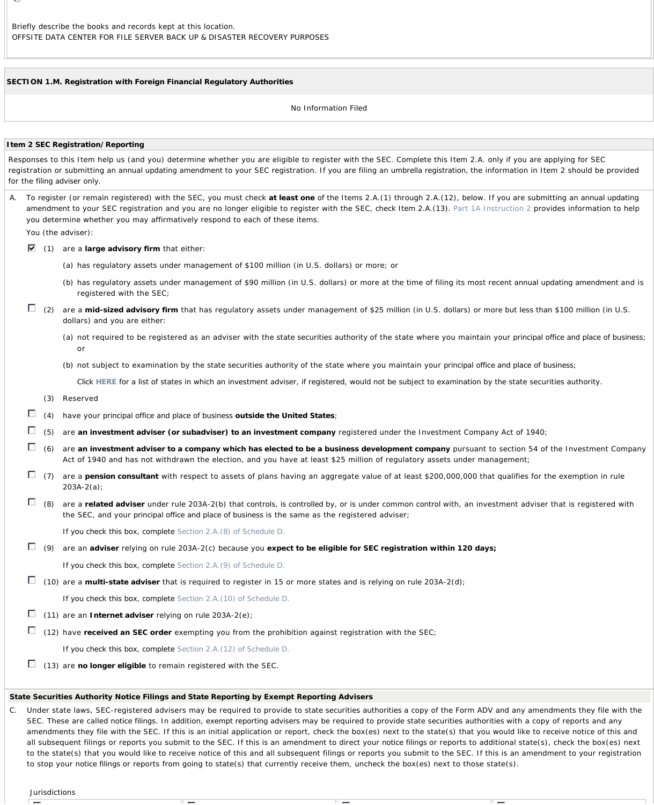Briefly describe the books and records kept at this location. OFFSITE DATA CENTER FOR FILE SERVER BACK UP & DISASTER RECOVERY PURPOSES

## **SECTION 1.M. Registration with Foreign Financial Regulatory Authorities**

# No Information Filed

### **Item 2 SEC Registration/Reporting**

Responses to this Item help us (and you) determine whether you are eligible to register with the SEC. Complete this Item 2.A. only if you are applying for SEC registration or submitting an *annual updating amendment* to your SEC registration. If you are filing an *umbrella registration*, the information in Item 2 should be provided for the *filing adviser* only.

A. To register (or remain registered) with the SEC, you must check **at least one** of the Items 2.A.(1) through 2.A.(12), below. If you are submitting an *annual updating* amendment to your SEC registration and you are no longer eligible to register with the SEC, check Item 2.A.(13). Part 1A Instruction 2 provides information to help you determine whether you may affirmatively respond to each of these items.

You (the adviser):

- (1) are a **large advisory firm** that either:
	- (a) has regulatory assets under management of \$100 million (in U.S. dollars) or more; or
	- (b) has regulatory assets under management of \$90 million (in U.S. dollars) or more at the time of filing its most recent *annual updating amendment* and is registered with the SEC;
- (2) are a **mid-sized advisory firm** that has regulatory assets under management of \$25 million (in U.S. dollars) or more but less than \$100 million (in U.S. dollars) and you are either:
	- (a) not required to be registered as an adviser with the *state securities authority* of the state where you maintain your *principal office and place of business*; or
	- (b) not subject to examination by the *state securities authority* of the state where you maintain your *principal office and place of business*;

*Click HERE for a list of states in which an investment adviser, if registered, would not be subject to examination by the state securities authority.*

- (3) Reserved
- (4) have your *principal office and place of business* **outside the United States**;
- (5) are **an investment adviser (or subadviser) to an investment company** registered under the Investment Company Act of 1940;
- П (6) are **an investment adviser to a company which has elected to be a business development company** pursuant to section 54 of the Investment Company Act of 1940 and has not withdrawn the election, and you have at least \$25 million of regulatory assets under management;
- (7) are a **pension consultant** with respect to assets of plans having an aggregate value of at least \$200,000,000 that qualifies for the exemption in rule 203A-2(a);
- (8) are a **related adviser** under rule 203A-2(b) that *controls*, is *controlled* by, or is under common *control* with, an investment adviser that is registered with the SEC, and your *principal office and place of business* is the same as the registered adviser;

*If you check this box, complete Section 2.A.(8) of Schedule D.*

# (9) are an **adviser** relying on rule 203A-2(c) because you **expect to be eligible for SEC registration within 120 days;**

*If you check this box, complete Section 2.A.(9) of Schedule D.*

(10) are a **multi-state adviser** that is required to register in 15 or more states and is relying on rule 203A-2(d);

*If you check this box, complete Section 2.A.(10) of Schedule D.*

- (11) are an **Internet adviser** relying on rule 203A-2(e);
- (12) have **received an SEC order** exempting you from the prohibition against registration with the SEC;

*If you check this box, complete Section 2.A.(12) of Schedule D.*

(13) are **no longer eligible** to remain registered with the SEC.

# *State Securities Authority Notice Filings* **and State Reporting by** *Exempt Reporting Advisers*

C. Under state laws, SEC-registered advisers may be required to provide to *state securities authorities* a copy of the Form ADV and any amendments they file with the SEC. These are called *notice filings*. In addition, *exempt reporting advisers* may be required to provide *state securities authorities* with a copy of reports and any amendments they file with the SEC. If this is an initial application or report, check the box(es) next to the state(s) that you would like to receive notice of this and all subsequent filings or reports you submit to the SEC. If this is an amendment to direct your *notice filings* or reports to additional state(s), check the box(es) next to the state(s) that you would like to receive notice of this and all subsequent filings or reports you submit to the SEC. If this is an amendment to your registration to stop your *notice filings* or reports from going to state(s) that currently receive them, uncheck the box(es) next to those state(s).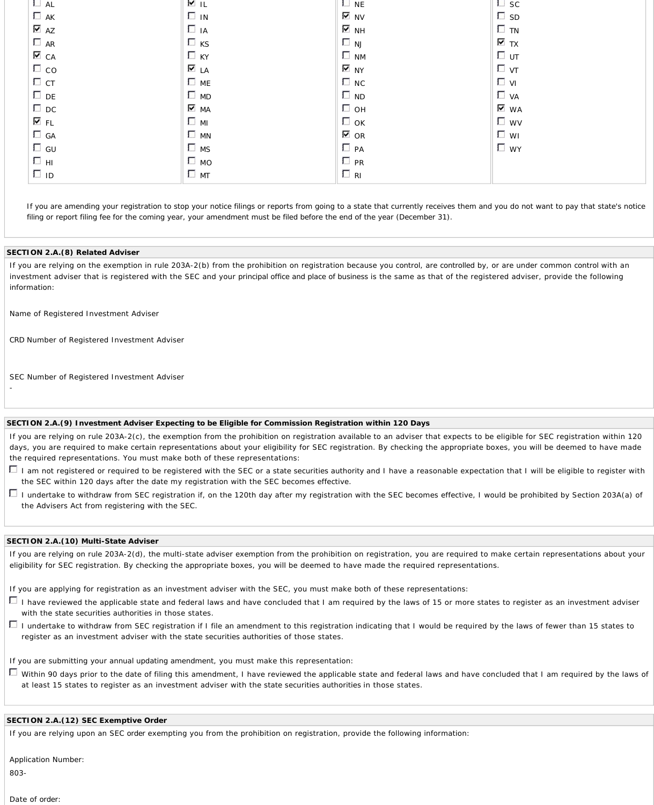| $\Box$ AL                     | $\overline{\mathsf{K}}$ If    | L NE                               | $\Box$ SC                     |
|-------------------------------|-------------------------------|------------------------------------|-------------------------------|
| $\Box$ AK                     | $\Box$ IN                     | $\overline{\triangledown}$ NV      | $\square$ SD                  |
| $\overline{V}$ AZ             | $\Box$ IA                     | $\overline{\triangledown}$ NH      | $\Box$ TN                     |
| $\Box$ AR                     | $\Box$ KS                     | $\Box$ NJ                          | $\overline{\mathbf{v}}$ TX    |
| $\overline{\triangledown}$ CA | $\Box$ KY                     | $\square$ NM                       | $\Box$ UT                     |
| $\Box$ co                     | <b>⊽</b> LA                   | $\overline{\blacktriangledown}$ NY | $\Box$ vt                     |
| $\Box$ CT                     | $\Box$ ME                     | $\Box$ NC                          | $\Box$ vi                     |
| $\Box$ DE                     | $\square$ MD                  | $\Box$ ND                          | $\Box$ VA                     |
| $\Box$ DC                     | $\overline{\triangledown}$ MA | $\Box$ OH                          | $\overline{\triangledown}$ WA |
| V FL                          | $\Box$ MI                     | $\Box$ OK                          | $\Box$ wv                     |
| $\Box$ GA                     | $\Box$ MN                     | $\overline{\triangledown}$ OR      | $\Box$ wi                     |
| $\Box$ GU                     | $\square$ MS                  | $\Box$ PA                          | $\Box$ WY                     |
| $\Box$ HI                     | $\square$ MO                  | $\Box$ PR                          |                               |
| $\Box$ ID                     | $\square$ MT                  | $\Box$ RI                          |                               |
|                               |                               |                                    |                               |

*If you are amending your registration to stop your notice filings or reports from going to a state that currently receives them and you do not want to pay that state's notice filing or report filing fee for the coming year, your amendment must be filed before the end of the year (December 31).*

## **SECTION 2.A.(8) Related Adviser**

If you are relying on the exemption in rule 203A-2(b) from the prohibition on registration because you *control*, are *controlled* by, or are under common *control* with an investment adviser that is registered with the SEC and your *principal office and place of business* is the same as that of the registered adviser, provide the following information:

Name of Registered Investment Adviser

*CRD* Number of Registered Investment Adviser

SEC Number of Registered Investment Adviser

### **SECTION 2.A.(9) Investment Adviser Expecting to be Eligible for Commission Registration within 120 Days**

If you are relying on rule 203A-2(c), the exemption from the prohibition on registration available to an adviser that expects to be eligible for SEC registration within 120 days, you are required to make certain representations about your eligibility for SEC registration. By checking the appropriate boxes, you will be deemed to have made the required representations. You must make both of these representations:

- I am not registered or required to be registered with the SEC or a *state securities authority* and I have a reasonable expectation that I will be eligible to register with the SEC within 120 days after the date my registration with the SEC becomes effective.
- I undertake to withdraw from SEC registration if, on the 120th day after my registration with the SEC becomes effective, I would be prohibited by Section 203A(a) of the Advisers Act from registering with the SEC.

### **SECTION 2.A.(10) Multi-State Adviser**

If you are relying on rule 203A-2(d), the multi-state adviser exemption from the prohibition on registration, you are required to make certain representations about your eligibility for SEC registration. By checking the appropriate boxes, you will be deemed to have made the required representations.

If you are applying for registration as an investment adviser with the SEC, you must make both of these representations:

- $\Box$  I have reviewed the applicable state and federal laws and have concluded that I am required by the laws of 15 or more states to register as an investment adviser with the *state securities authorities* in those states.
- I undertake to withdraw from SEC registration if I file an amendment to this registration indicating that I would be required by the laws of fewer than 15 states to register as an investment adviser with the *state securities authorities* of those states.

If you are submitting your *annual updating amendment*, you must make this representation:

■ Within 90 days prior to the date of filing this amendment, I have reviewed the applicable state and federal laws and have concluded that I am required by the laws of at least 15 states to register as an investment adviser with the *state securities authorities* in those states.

### **SECTION 2.A.(12) SEC Exemptive** *Order*

If you are relying upon an SEC *order* exempting you from the prohibition on registration, provide the following information:

Application Number:

803-

-

Date of *order*: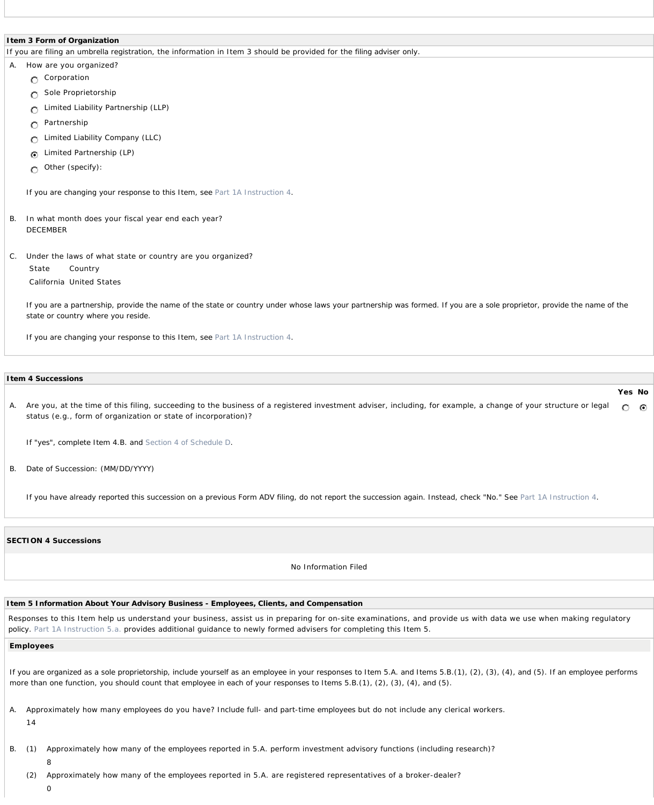### **Item 3 Form of Organization**

If you are filing an *umbrella registration*, the information in Item 3 should be provided for the *filing adviser* only.

- A. How are you organized?
	- **C** Corporation
		- **G** Sole Proprietorship
		- Limited Liability Partnership (LLP) 0.
		- $\circ$ Partnership
		- Limited Liability Company (LLC)  $\circ$
		- Limited Partnership (LP)  $\odot$
		- Other (specify):  $\circ$

*If you are changing your response to this Item, see Part 1A Instruction 4.*

- B. In what month does your fiscal year end each year? **DECEMBER**
- C. Under the laws of what state or country are you organized?

State Country California United States

*If you are a partnership, provide the name of the state or country under whose laws your partnership was formed. If you are a sole proprietor, provide the name of the state or country where you reside.* 

*If you are changing your response to this Item, see Part 1A Instruction 4.* 

#### **Item 4 Successions**

A. Are you, at the time of this filing, succeeding to the business of a registered investment adviser, including, for example, a change of your structure or legal  $\circ$  $\odot$ status (e.g., form of organization or state of incorporation)?

**Yes No**

*If "yes", complete Item 4.B. and Section 4 of Schedule D.*

B. Date of Succession: (MM/DD/YYYY)

*If you have already reported this succession on a previous Form ADV filing, do not report the succession again. Instead, check "No." See Part 1A Instruction 4.*

# **SECTION 4 Successions**

No Information Filed

#### **Item 5 Information About Your Advisory Business - Employees, Clients, and Compensation**

Responses to this Item help us understand your business, assist us in preparing for on-site examinations, and provide us with data we use when making regulatory policy. Part 1A Instruction 5.a. provides additional guidance to newly formed advisers for completing this Item 5.

### *Employees*

*If you are organized as a sole proprietorship, include yourself as an employee in your responses to Item 5.A. and Items 5.B.(1), (2), (3), (4), and (5). If an employee performs more than one function, you should count that employee in each of your responses to Items 5.B.(1), (2), (3), (4), and (5).*

- A. Approximately how many *employees* do you have? Include full- and part-time *employees* but do not include any clerical workers. 14
- B. (1) Approximately how many of the *employees* reported in 5.A. perform investment advisory functions (including research)? 8
	- (2) Approximately how many of the *employees* reported in 5.A. are registered representatives of a broker-dealer?
		- 0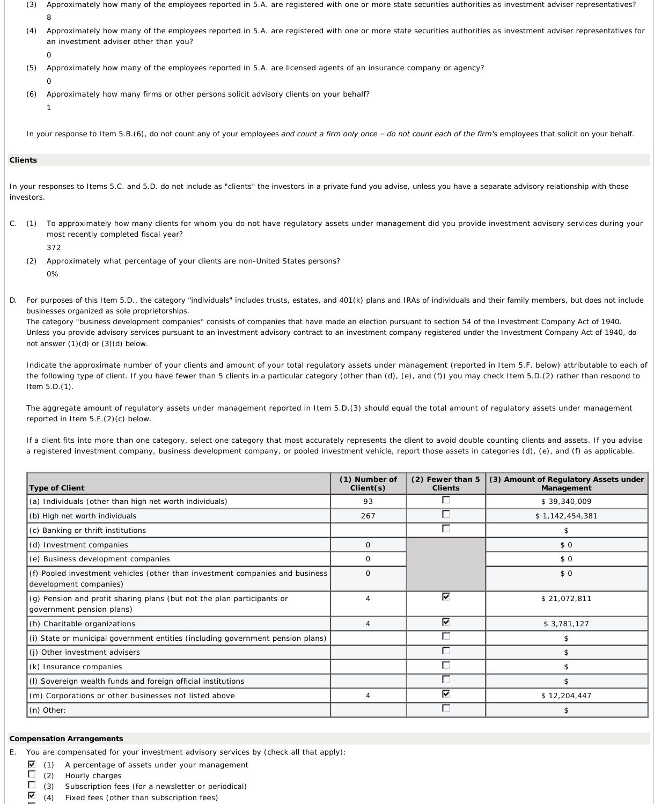- (3) Approximately how many of the *employees* reported in 5.A. are registered with one or more *state securities authorities* as *investment adviser representatives*? 8
- (4) Approximately how many of the *employees* reported in 5.A. are registered with one or more *state securities authorities* as *investment adviser representatives* for an investment adviser other than you?

0

0

- (5) Approximately how many of the *employees* reported in 5.A. are licensed agents of an insurance company or agency?
	-
- (6) Approximately how many firms or other *persons* solicit advisory *clients* on your behalf?

1

In your response to Item 5.B.(6), do not count any of your employees and count a firm only once - do not count each of the firm's employees that solicit on your behalf.

# *Clients*

*In your responses to Items 5.C. and 5.D. do not include as "clients" the investors in a private fund you advise, unless you have a separate advisory relationship with those investors.*

C. (1) To approximately how many *clients* for whom you do not have regulatory assets under management did you provide investment advisory services during your most recently completed fiscal year?

372

- (2) Approximately what percentage of your *clients* are non-*United States persons*? 0%
- D. *For purposes of this Item 5.D., the category "individuals" includes trusts, estates, and 401(k) plans and IRAs of individuals and their family members, but does not include businesses organized as sole proprietorships.*

*The category "business development companies" consists of companies that have made an election pursuant to section 54 of the Investment Company Act of 1940. Unless you provide advisory services pursuant to an investment advisory contract to an investment company registered under the Investment Company Act of 1940, do not answer (1)(d) or (3)(d) below.*

Indicate the approximate number of your *clients* and amount of your total regulatory assets under management (reported in Item 5.F. below) attributable to each of the following type of *client*. If you have fewer than 5 *clients* in a particular category (other than (d), (e), and (f)) you may check Item 5.D.(2) rather than respond to Item 5.D.(1).

The aggregate amount of regulatory assets under management reported in Item 5.D.(3) should equal the total amount of regulatory assets under management reported in Item 5.F.(2)(c) below.

If a *client* fits into more than one category, select one category that most accurately represents the *client* to avoid double counting *clients* and assets. If you advise a registered investment company, business development company, or pooled investment vehicle, report those assets in categories (d), (e), and (f) as applicable.

| Type of Client                                                                                           | (1) Number of<br>Client(s) | (2) Fewer than 5<br><b>Clients</b> | (3) Amount of Regulatory Assets under<br>Management |
|----------------------------------------------------------------------------------------------------------|----------------------------|------------------------------------|-----------------------------------------------------|
| (a) Individuals (other than high net worth individuals)                                                  | 93                         | г                                  | \$39,340,009                                        |
| (b) High net worth individuals                                                                           | 267                        | г                                  | \$1,142,454,381                                     |
| (c) Banking or thrift institutions                                                                       |                            | п                                  | \$                                                  |
| (d) Investment companies                                                                                 | $\overline{O}$             |                                    | \$0                                                 |
| (e) Business development companies                                                                       | $\Omega$                   |                                    | \$0                                                 |
| (f) Pooled investment vehicles (other than investment companies and business  <br>development companies) | $\overline{O}$             |                                    | \$0                                                 |
| (g) Pension and profit sharing plans (but not the plan participants or<br>government pension plans)      | $\overline{4}$             | ⊽                                  | \$21,072,811                                        |
| (h) Charitable organizations                                                                             | 4                          | $\overline{\mathbf{v}}$            | \$3,781,127                                         |
| (i) State or municipal <i>government entities</i> (including government pension plans)                   |                            | г                                  | \$                                                  |
| (j) Other investment advisers                                                                            |                            | г                                  | \$                                                  |
| (k) Insurance companies                                                                                  |                            | Г                                  |                                                     |
| (I) Sovereign wealth funds and foreign official institutions                                             |                            | п                                  | \$                                                  |
| (m) Corporations or other businesses not listed above                                                    | 4                          | ⊽                                  | \$12,204,447                                        |
| (n) Other:                                                                                               |                            | г                                  | \$                                                  |

# **Compensation Arrangements**

E. You are compensated for your investment advisory services by (check all that apply):

- $\triangledown$  (1) A percentage of assets under your management
- Г (2) Hourly charges
- Г (3) Subscription fees (for a newsletter or periodical) ⊽
	- (4) Fixed fees (other than subscription fees)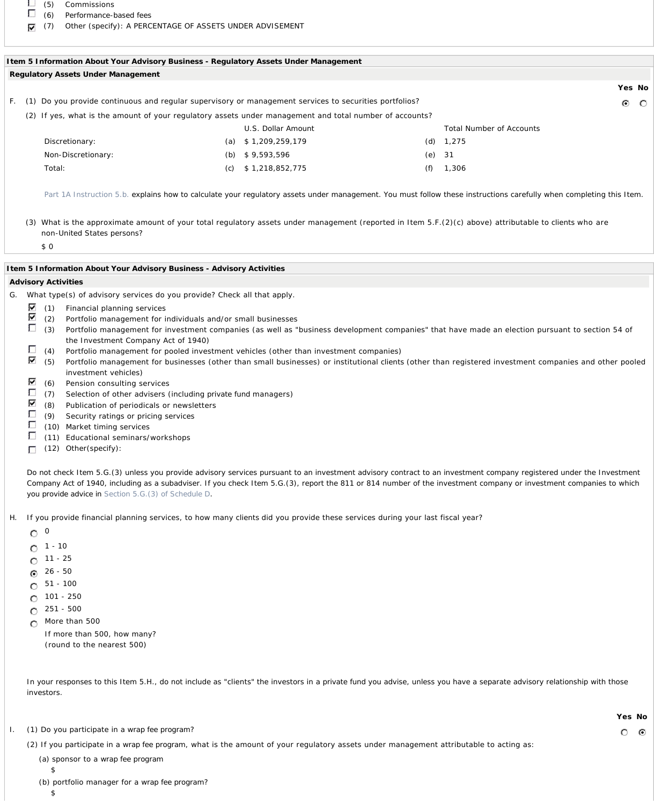$\mathbf{1}$ (5) Commissions

(6) *Performance-based fees*

(7) Other (specify): A PERCENTAGE OF ASSETS UNDER ADVISEMENT

| Item 5 Information About Your Advisory Business - Regulatory Assets Under Management                         |     |                    |     |                                 |                 |
|--------------------------------------------------------------------------------------------------------------|-----|--------------------|-----|---------------------------------|-----------------|
| <b>Regulatory Assets Under Management</b>                                                                    |     |                    |     |                                 |                 |
|                                                                                                              |     |                    |     |                                 | Yes No          |
| Do you provide continuous and regular supervisory or management services to securities portfolios?<br>F. (1) |     |                    |     |                                 | $\circ$ $\circ$ |
| (2) If yes, what is the amount of your regulatory assets under management and total number of accounts?      |     |                    |     |                                 |                 |
|                                                                                                              |     | U.S. Dollar Amount |     | <b>Total Number of Accounts</b> |                 |
| Discretionary:                                                                                               | (a) | \$1,209,259,179    | (d) | 1,275                           |                 |
| Non-Discretionary:                                                                                           | (b) | \$9,593,596        | (e) | - 31                            |                 |
| Total:                                                                                                       | (C) | \$1,218,852,775    | (f) | 1,306                           |                 |
|                                                                                                              |     |                    |     |                                 |                 |

*Part 1A Instruction 5.b. explains how to calculate your regulatory assets under management. You must follow these instructions carefully when completing this Item.*

(3) What is the approximate amount of your total regulatory assets under management (reported in Item 5.F.(2)(c) above) attributable to *clients* who are non-*United States persons*?

\$ 0

| Item 5 Information About Your Advisory Business - Advisory Activities |  |  |  |
|-----------------------------------------------------------------------|--|--|--|
|                                                                       |  |  |  |
|                                                                       |  |  |  |

### **Advisory Activities**

- G. What type(s) of advisory services do you provide? Check all that apply.
	- ⊽ (1) Financial planning services
	- $\overline{\mathbf{v}}$ (2) Portfolio management for individuals and/or small businesses
	- (3) Portfolio management for investment companies (as well as "business development companies" that have made an election pursuant to section 54 of the Investment Company Act of 1940)
	- $\Box$  (4) Portfolio management for pooled investment vehicles (other than investment companies)
	- ⊽ (5) Portfolio management for businesses (other than small businesses) or institutional *clients* (other than registered investment companies and other pooled investment vehicles)
	- ⊽ (6) Pension consulting services
	- Г (7) Selection of other advisers (including *private fund* managers)
	- ∇ (8) Publication of periodicals or newsletters
	- П (9) Security ratings or pricing services
	- Г (10) Market timing services
	- Г (11) Educational seminars/workshops
	- (12) Other(specify):

*Do not check Item 5.G.(3) unless you provide advisory services pursuant to an investment advisory contract to an investment company registered under the Investment Company Act of 1940, including as a subadviser. If you check Item 5.G.(3), report the 811 or 814 number of the investment company or investment companies to which you provide advice in Section 5.G.(3) of Schedule D.* 

H. If you provide financial planning services, to how many *clients* did you provide these services during your last fiscal year?

- $\degree$   $\degree$
- $O<sup>1 10</sup>$
- $0$  11 25
- 26 50
- 51 100 O
- 101 250  $\circ$
- 251 500  $\circ$
- More than 500 O
	- If more than 500, how many? (round to the nearest 500)

*In your responses to this Item 5.H., do not include as "clients" the investors in a private fund you advise, unless you have a separate advisory relationship with those investors.* 

I. (1) Do you participate in a *wrap fee program*?

(2) If you participate in a *wrap fee program*, what is the amount of your regulatory assets under management attributable to acting as:

(a) *sponsor* to a *wrap fee program*

(b) portfolio manager for a *wrap fee program*?

\$

\$

**Yes No** О  $\odot$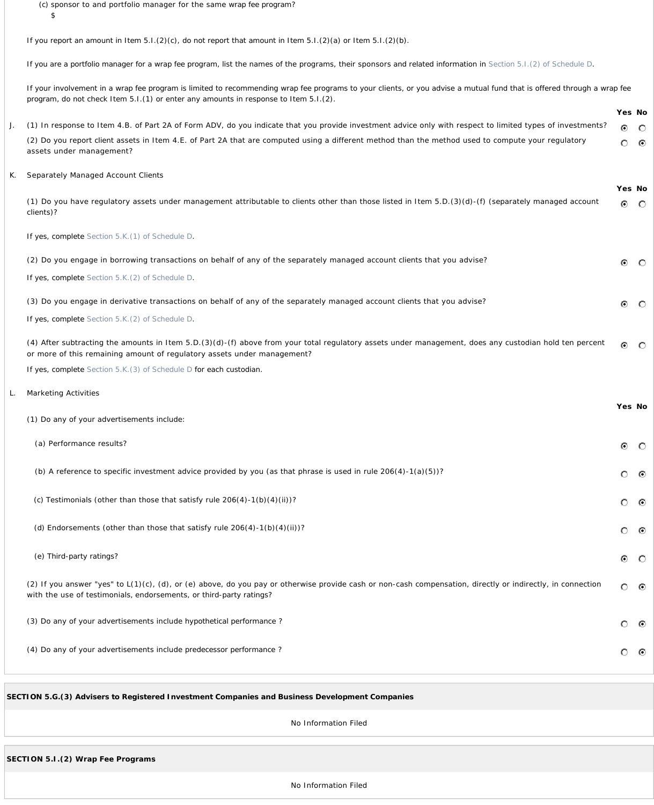(c) *sponsor* to and portfolio manager for the same *wrap fee program*? \$

*If you report an amount in Item 5.I.(2)(c), do not report that amount in Item 5.I.(2)(a) or Item 5.I.(2)(b).* 

*If you are a portfolio manager for a wrap fee program, list the names of the programs, their sponsors and related information in Section 5.I.(2) of Schedule D.* 

*If your involvement in a wrap fee program is limited to recommending wrap fee programs to your clients, or you advise a mutual fund that is offered through a wrap fee program, do not check Item 5.I.(1) or enter any amounts in response to Item 5.I.(2).* 

| (1) In response to Item 4.B. of Part 2A of Form ADV, do you indicate that you provide investment advice only with respect to limited types of investments?<br>⊙<br>(2) Do you report client assets in Item 4.E. of Part 2A that are computed using a different method than the method used to compute your regulatory<br>$\circ$<br>assets under management?<br>Separately Managed Account Clients<br>К.<br>Yes No<br>(1) Do you have regulatory assets under management attributable to clients other than those listed in Item 5.D.(3)(d)-(f) (separately managed account<br>⊙<br>clients)?<br>If yes, complete Section 5.K. (1) of Schedule D.<br>(2) Do you engage in borrowing transactions on behalf of any of the separately managed account clients that you advise?<br>$\circ$ $\circ$<br>If yes, complete Section 5.K. (2) of Schedule D.<br>(3) Do you engage in derivative transactions on behalf of any of the separately managed account clients that you advise?<br>⊙<br>If yes, complete Section 5.K. (2) of Schedule D.<br>(4) After subtracting the amounts in Item 5.D.(3)(d)-(f) above from your total regulatory assets under management, does any custodian hold ten percent<br>⊙<br>or more of this remaining amount of regulatory assets under management?<br>If yes, complete Section 5.K. (3) of Schedule D for each custodian.<br>Marketing Activities<br>Yes No<br>(1) Do any of your advertisements include:<br>(a) Performance results?<br>$\odot$<br>(b) A reference to specific investment advice provided by you (as that phrase is used in rule $206(4) - 1(a)(5)$ ?<br>$\circ$<br>(c) Testimonials (other than those that satisfy rule $206(4)-1(b)(4)(ii)$ ?<br>$\circ$<br>(d) Endorsements (other than those that satisfy rule $206(4) - 1(b)(4)(ii)$ ?<br>$\circ$<br>(e) Third-party ratings?<br>⊙<br>(2) If you answer "yes" to L(1)(c), (d), or (e) above, do you pay or otherwise provide cash or non-cash compensation, directly or indirectly, in connection<br>O<br>with the use of testimonials, endorsements, or third-party ratings?<br>(3) Do any of your advertisements include hypothetical performance?<br>$\circ$ $\circ$<br>(4) Do any of your advertisements include predecessor performance?<br>o |  | Yes No |         |  |
|----------------------------------------------------------------------------------------------------------------------------------------------------------------------------------------------------------------------------------------------------------------------------------------------------------------------------------------------------------------------------------------------------------------------------------------------------------------------------------------------------------------------------------------------------------------------------------------------------------------------------------------------------------------------------------------------------------------------------------------------------------------------------------------------------------------------------------------------------------------------------------------------------------------------------------------------------------------------------------------------------------------------------------------------------------------------------------------------------------------------------------------------------------------------------------------------------------------------------------------------------------------------------------------------------------------------------------------------------------------------------------------------------------------------------------------------------------------------------------------------------------------------------------------------------------------------------------------------------------------------------------------------------------------------------------------------------------------------------------------------------------------------------------------------------------------------------------------------------------------------------------------------------------------------------------------------------------------------------------------------------------------------------------------------------------------------------------------------------------------------------------------------------------------------------------------------------------------------------------------------------------|--|--------|---------|--|
|                                                                                                                                                                                                                                                                                                                                                                                                                                                                                                                                                                                                                                                                                                                                                                                                                                                                                                                                                                                                                                                                                                                                                                                                                                                                                                                                                                                                                                                                                                                                                                                                                                                                                                                                                                                                                                                                                                                                                                                                                                                                                                                                                                                                                                                          |  |        | $\circ$ |  |
|                                                                                                                                                                                                                                                                                                                                                                                                                                                                                                                                                                                                                                                                                                                                                                                                                                                                                                                                                                                                                                                                                                                                                                                                                                                                                                                                                                                                                                                                                                                                                                                                                                                                                                                                                                                                                                                                                                                                                                                                                                                                                                                                                                                                                                                          |  |        | ⊙       |  |
|                                                                                                                                                                                                                                                                                                                                                                                                                                                                                                                                                                                                                                                                                                                                                                                                                                                                                                                                                                                                                                                                                                                                                                                                                                                                                                                                                                                                                                                                                                                                                                                                                                                                                                                                                                                                                                                                                                                                                                                                                                                                                                                                                                                                                                                          |  |        |         |  |
|                                                                                                                                                                                                                                                                                                                                                                                                                                                                                                                                                                                                                                                                                                                                                                                                                                                                                                                                                                                                                                                                                                                                                                                                                                                                                                                                                                                                                                                                                                                                                                                                                                                                                                                                                                                                                                                                                                                                                                                                                                                                                                                                                                                                                                                          |  |        | $\circ$ |  |
|                                                                                                                                                                                                                                                                                                                                                                                                                                                                                                                                                                                                                                                                                                                                                                                                                                                                                                                                                                                                                                                                                                                                                                                                                                                                                                                                                                                                                                                                                                                                                                                                                                                                                                                                                                                                                                                                                                                                                                                                                                                                                                                                                                                                                                                          |  |        |         |  |
|                                                                                                                                                                                                                                                                                                                                                                                                                                                                                                                                                                                                                                                                                                                                                                                                                                                                                                                                                                                                                                                                                                                                                                                                                                                                                                                                                                                                                                                                                                                                                                                                                                                                                                                                                                                                                                                                                                                                                                                                                                                                                                                                                                                                                                                          |  |        |         |  |
|                                                                                                                                                                                                                                                                                                                                                                                                                                                                                                                                                                                                                                                                                                                                                                                                                                                                                                                                                                                                                                                                                                                                                                                                                                                                                                                                                                                                                                                                                                                                                                                                                                                                                                                                                                                                                                                                                                                                                                                                                                                                                                                                                                                                                                                          |  |        |         |  |
|                                                                                                                                                                                                                                                                                                                                                                                                                                                                                                                                                                                                                                                                                                                                                                                                                                                                                                                                                                                                                                                                                                                                                                                                                                                                                                                                                                                                                                                                                                                                                                                                                                                                                                                                                                                                                                                                                                                                                                                                                                                                                                                                                                                                                                                          |  |        | - 0     |  |
|                                                                                                                                                                                                                                                                                                                                                                                                                                                                                                                                                                                                                                                                                                                                                                                                                                                                                                                                                                                                                                                                                                                                                                                                                                                                                                                                                                                                                                                                                                                                                                                                                                                                                                                                                                                                                                                                                                                                                                                                                                                                                                                                                                                                                                                          |  |        |         |  |
|                                                                                                                                                                                                                                                                                                                                                                                                                                                                                                                                                                                                                                                                                                                                                                                                                                                                                                                                                                                                                                                                                                                                                                                                                                                                                                                                                                                                                                                                                                                                                                                                                                                                                                                                                                                                                                                                                                                                                                                                                                                                                                                                                                                                                                                          |  |        | - 0     |  |
|                                                                                                                                                                                                                                                                                                                                                                                                                                                                                                                                                                                                                                                                                                                                                                                                                                                                                                                                                                                                                                                                                                                                                                                                                                                                                                                                                                                                                                                                                                                                                                                                                                                                                                                                                                                                                                                                                                                                                                                                                                                                                                                                                                                                                                                          |  |        |         |  |
|                                                                                                                                                                                                                                                                                                                                                                                                                                                                                                                                                                                                                                                                                                                                                                                                                                                                                                                                                                                                                                                                                                                                                                                                                                                                                                                                                                                                                                                                                                                                                                                                                                                                                                                                                                                                                                                                                                                                                                                                                                                                                                                                                                                                                                                          |  |        |         |  |
|                                                                                                                                                                                                                                                                                                                                                                                                                                                                                                                                                                                                                                                                                                                                                                                                                                                                                                                                                                                                                                                                                                                                                                                                                                                                                                                                                                                                                                                                                                                                                                                                                                                                                                                                                                                                                                                                                                                                                                                                                                                                                                                                                                                                                                                          |  |        |         |  |
|                                                                                                                                                                                                                                                                                                                                                                                                                                                                                                                                                                                                                                                                                                                                                                                                                                                                                                                                                                                                                                                                                                                                                                                                                                                                                                                                                                                                                                                                                                                                                                                                                                                                                                                                                                                                                                                                                                                                                                                                                                                                                                                                                                                                                                                          |  |        | - 0     |  |
|                                                                                                                                                                                                                                                                                                                                                                                                                                                                                                                                                                                                                                                                                                                                                                                                                                                                                                                                                                                                                                                                                                                                                                                                                                                                                                                                                                                                                                                                                                                                                                                                                                                                                                                                                                                                                                                                                                                                                                                                                                                                                                                                                                                                                                                          |  |        | ⊙       |  |
|                                                                                                                                                                                                                                                                                                                                                                                                                                                                                                                                                                                                                                                                                                                                                                                                                                                                                                                                                                                                                                                                                                                                                                                                                                                                                                                                                                                                                                                                                                                                                                                                                                                                                                                                                                                                                                                                                                                                                                                                                                                                                                                                                                                                                                                          |  |        | - ⊙     |  |
|                                                                                                                                                                                                                                                                                                                                                                                                                                                                                                                                                                                                                                                                                                                                                                                                                                                                                                                                                                                                                                                                                                                                                                                                                                                                                                                                                                                                                                                                                                                                                                                                                                                                                                                                                                                                                                                                                                                                                                                                                                                                                                                                                                                                                                                          |  |        | ⊙       |  |
|                                                                                                                                                                                                                                                                                                                                                                                                                                                                                                                                                                                                                                                                                                                                                                                                                                                                                                                                                                                                                                                                                                                                                                                                                                                                                                                                                                                                                                                                                                                                                                                                                                                                                                                                                                                                                                                                                                                                                                                                                                                                                                                                                                                                                                                          |  |        | - 0     |  |
|                                                                                                                                                                                                                                                                                                                                                                                                                                                                                                                                                                                                                                                                                                                                                                                                                                                                                                                                                                                                                                                                                                                                                                                                                                                                                                                                                                                                                                                                                                                                                                                                                                                                                                                                                                                                                                                                                                                                                                                                                                                                                                                                                                                                                                                          |  |        | - 0     |  |
|                                                                                                                                                                                                                                                                                                                                                                                                                                                                                                                                                                                                                                                                                                                                                                                                                                                                                                                                                                                                                                                                                                                                                                                                                                                                                                                                                                                                                                                                                                                                                                                                                                                                                                                                                                                                                                                                                                                                                                                                                                                                                                                                                                                                                                                          |  |        |         |  |
|                                                                                                                                                                                                                                                                                                                                                                                                                                                                                                                                                                                                                                                                                                                                                                                                                                                                                                                                                                                                                                                                                                                                                                                                                                                                                                                                                                                                                                                                                                                                                                                                                                                                                                                                                                                                                                                                                                                                                                                                                                                                                                                                                                                                                                                          |  |        | - 0     |  |
|                                                                                                                                                                                                                                                                                                                                                                                                                                                                                                                                                                                                                                                                                                                                                                                                                                                                                                                                                                                                                                                                                                                                                                                                                                                                                                                                                                                                                                                                                                                                                                                                                                                                                                                                                                                                                                                                                                                                                                                                                                                                                                                                                                                                                                                          |  |        |         |  |

**SECTION 5.G.(3) Advisers to Registered Investment Companies and Business Development Companies**

No Information Filed

**SECTION 5.I.(2)** *Wrap Fee Programs*

No Information Filed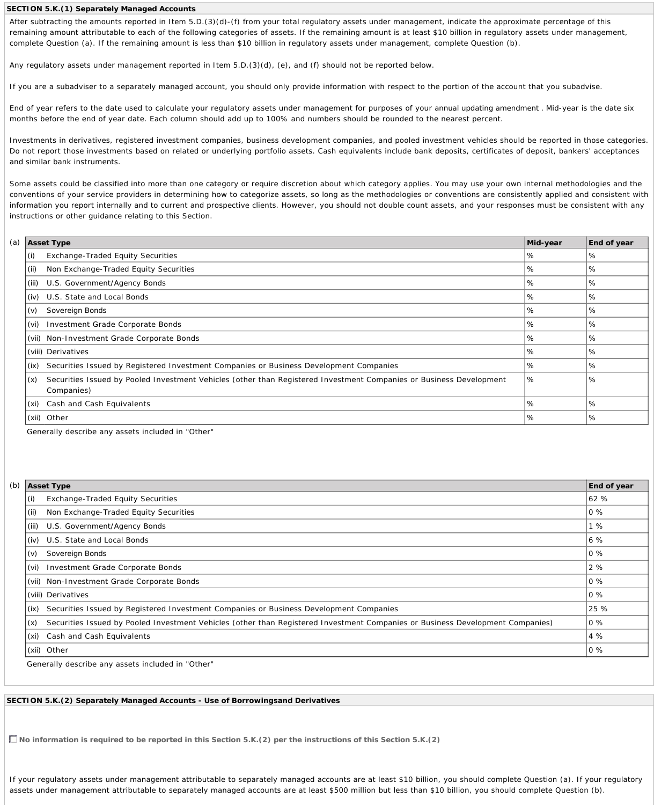### **SECTION 5.K.(1) Separately Managed Accounts**

After subtracting the amounts reported in Item 5.D.(3)(d)-(f) from your total regulatory assets under management, indicate the approximate percentage of this remaining amount attributable to each of the following categories of assets. If the remaining amount is at least \$10 billion in regulatory assets under management, complete Question (a). If the remaining amount is less than \$10 billion in regulatory assets under management, complete Question (b).

Any regulatory assets under management reported in Item 5.D.(3)(d), (e), and (f) should not be reported below.

If you are a subadviser to a separately managed account, you should only provide information with respect to the portion of the account that you subadvise.

End of year refers to the date used to calculate your regulatory assets under management for purposes of your *annual updating amendment* . Mid-year is the date six months before the end of year date. Each column should add up to 100% and numbers should be rounded to the nearest percent.

Investments in derivatives, registered investment companies, business development companies, and pooled investment vehicles should be reported in those categories. Do not report those investments based on related or underlying portfolio assets. Cash equivalents include bank deposits, certificates of deposit, bankers' acceptances and similar bank instruments.

Some assets could be classified into more than one category or require discretion about which category applies. You may use your own internal methodologies and the conventions of your service providers in determining how to categorize assets, so long as the methodologies or conventions are consistently applied and consistent with information you report internally and to current and prospective clients. However, you should not double count assets, and your responses must be consistent with any instructions or other guidance relating to this Section.

| (a)      | <b>Asset Type</b>                                                                                                                 | Mid-year | End of year |
|----------|-----------------------------------------------------------------------------------------------------------------------------------|----------|-------------|
| (i)      | <b>Exchange-Traded Equity Securities</b>                                                                                          | $\%$     | %           |
| (i)      | Non Exchange-Traded Equity Securities                                                                                             | %        | %           |
| (iii)    | U.S. Government/Agency Bonds                                                                                                      | %        | %           |
| (iv)     | U.S. State and Local Bonds                                                                                                        | $\%$     | %           |
| $(\vee)$ | Sovereign Bonds                                                                                                                   | $\%$     | %           |
| (vi)     | Investment Grade Corporate Bonds                                                                                                  | $\%$     | %           |
|          | (vii) Non-Investment Grade Corporate Bonds                                                                                        | %        | %           |
|          | (viii) Derivatives                                                                                                                | $\%$     | %           |
| (ix)     | Securities Issued by Registered Investment Companies or Business Development Companies                                            | $\%$     | $\%$        |
| (x)      | Securities Issued by Pooled Investment Vehicles (other than Registered Investment Companies or Business Development<br>Companies) | $\%$     | $\%$        |
| (xi)     | Cash and Cash Equivalents                                                                                                         | $\%$     | %           |
| (xii)    | Other                                                                                                                             | %        | $\%$        |

Generally describe any assets included in "Other"

| (b) | <b>Asset Type</b>                                                                                                                     | End of year      |
|-----|---------------------------------------------------------------------------------------------------------------------------------------|------------------|
|     | <b>Exchange-Traded Equity Securities</b><br>(i)                                                                                       | 62 %             |
|     | Non Exchange-Traded Equity Securities<br>(i)                                                                                          | $\overline{0}$ % |
|     | U.S. Government/Agency Bonds<br>(iii)                                                                                                 | 1%               |
|     | U.S. State and Local Bonds<br>(iv)                                                                                                    | 6%               |
|     | Sovereign Bonds<br>$(\vee)$                                                                                                           | $0\%$            |
|     | Investment Grade Corporate Bonds<br>(vi)                                                                                              | 2 %              |
|     | Non-Investment Grade Corporate Bonds<br>(vii)                                                                                         | $\overline{0}$ % |
|     | (viii) Derivatives                                                                                                                    | $0\%$            |
|     | Securities Issued by Registered Investment Companies or Business Development Companies<br>(ix)                                        | 25 %             |
|     | Securities Issued by Pooled Investment Vehicles (other than Registered Investment Companies or Business Development Companies)<br>(x) | $ 0 \ \%$        |
|     | Cash and Cash Equivalents<br>(xi)                                                                                                     | 4 %              |
|     | (xii) Other                                                                                                                           | $0\%$            |

Generally describe any assets included in "Other"

**SECTION 5.K.(2) Separately Managed Accounts - Use of** *Borrowings***and Derivatives**

**No information is required to be reported in this Section 5.K.(2) per the instructions of this Section 5.K.(2)**

If your regulatory assets under management attributable to separately managed accounts are at least \$10 billion, you should complete Question (a). If your regulatory assets under management attributable to separately managed accounts are at least \$500 million but less than \$10 billion, you should complete Question (b).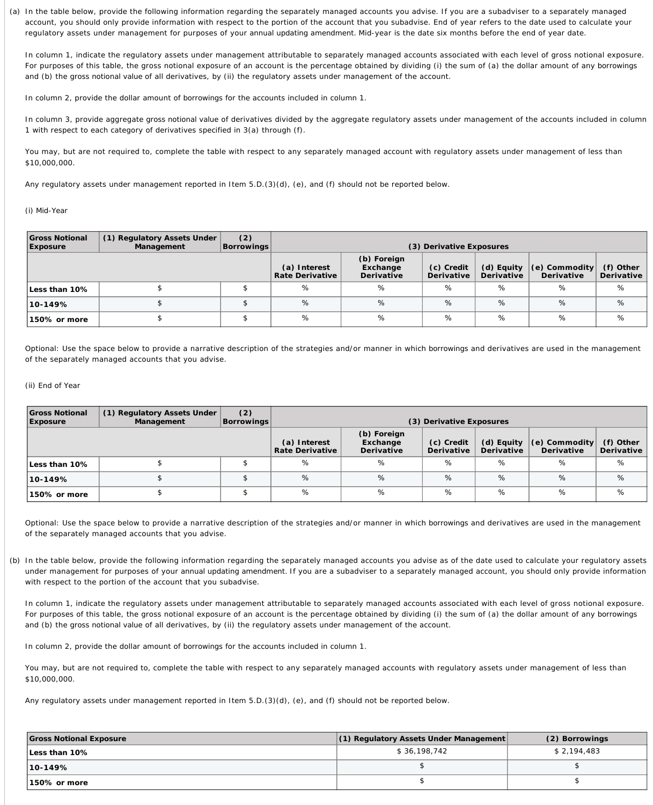(a) In the table below, provide the following information regarding the separately managed accounts you advise. If you are a subadviser to a separately managed account, you should only provide information with respect to the portion of the account that you subadvise. End of year refers to the date used to calculate your regulatory assets under management for purposes of your *annual updating amendment*. Mid-year is the date six months before the end of year date.

In column 1, indicate the regulatory assets under management attributable to separately managed accounts associated with each level of gross notional exposure. For purposes of this table, the gross notional exposure of an account is the percentage obtained by dividing (i) the sum of (a) the dollar amount of any *borrowings* and (b) the *gross notional value* of all derivatives, by (ii) the regulatory assets under management of the account.

In column 2, provide the dollar amount of *borrowings* for the accounts included in column 1.

In column 3, provide aggregate *gross notional value* of derivatives divided by the aggregate regulatory assets under management of the accounts included in column 1 with respect to each category of derivatives specified in 3(a) through (f).

You may, but are not required to, complete the table with respect to any separately managed account with regulatory assets under management of less than \$10,000,000.

Any regulatory assets under management reported in Item 5.D.(3)(d), (e), and (f) should not be reported below.

(i) Mid-Year

| <b>Gross Notional</b><br><b>Exposure</b> | (1) Regulatory Assets Under<br>Management | (2)<br><b>Borrowings</b> | (3) Derivative Exposures               |                                       |                          |                          |                               |                         |
|------------------------------------------|-------------------------------------------|--------------------------|----------------------------------------|---------------------------------------|--------------------------|--------------------------|-------------------------------|-------------------------|
|                                          |                                           |                          | (a) Interest<br><b>Rate Derivative</b> | (b) Foreign<br>Exchange<br>Derivative | (c) Credit<br>Derivative | (d) Equity<br>Derivative | $(c)$ Commodity<br>Derivative | (f) Other<br>Derivative |
| Less than 10%                            |                                           |                          | %                                      | %                                     | %                        | %                        | %                             | %                       |
| 10-149%                                  |                                           |                          | %                                      | %                                     | $\%$                     | $\%$                     | $\%$                          | %                       |
| 150% or more                             |                                           |                          | %                                      | %                                     | %                        | %                        | %                             | %                       |

Optional: Use the space below to provide a narrative description of the strategies and/or manner in which *borrowings* and derivatives are used in the management of the separately managed accounts that you advise.

### (ii) End of Year

| <b>Gross Notional</b><br>Exposure | (1) Regulatory Assets Under<br>Management | (2)<br><b>Borrowings</b> | (3) Derivative Exposures               |                                       |                          |                          |                                                    |                         |
|-----------------------------------|-------------------------------------------|--------------------------|----------------------------------------|---------------------------------------|--------------------------|--------------------------|----------------------------------------------------|-------------------------|
|                                   |                                           |                          | (a) Interest<br><b>Rate Derivative</b> | (b) Foreign<br>Exchange<br>Derivative | (c) Credit<br>Derivative | (d) Equity<br>Derivative | $\vert$ (e) <i>Commodity</i> $\vert$<br>Derivative | (f) Other<br>Derivative |
| Less than 10%                     |                                           |                          | %                                      | %                                     | %                        | $\%$                     | %                                                  | %                       |
| 10-149%                           |                                           |                          | %                                      | $\%$                                  | $\%$                     | $\%$                     | $\%$                                               | $\%$                    |
| 150% or more                      |                                           |                          | %                                      | %                                     | %                        | $\%$                     | %                                                  | %                       |

Optional: Use the space below to provide a narrative description of the strategies and/or manner in which *borrowings* and derivatives are used in the management of the separately managed accounts that you advise.

(b) In the table below, provide the following information regarding the separately managed accounts you advise as of the date used to calculate your regulatory assets under management for purposes of your *annual updating amendment*. If you are a subadviser to a separately managed account, you should only provide information with respect to the portion of the account that you subadvise.

In column 1, indicate the regulatory assets under management attributable to separately managed accounts associated with each level of gross notional exposure. For purposes of this table, the gross notional exposure of an account is the percentage obtained by dividing (i) the sum of (a) the dollar amount of any *borrowings* and (b) the *gross notional value* of all derivatives, by (ii) the regulatory assets under management of the account.

In column 2, provide the dollar amount of *borrowings* for the accounts included in column 1.

You may, but are not required to, complete the table with respect to any separately managed accounts with regulatory assets under management of less than \$10,000,000.

Any regulatory assets under management reported in Item 5.D.(3)(d), (e), and (f) should not be reported below.

| <b>Gross Notional Exposure</b> | (1) Regulatory Assets Under Management | (2) Borrowings |  |  |
|--------------------------------|----------------------------------------|----------------|--|--|
| Less than 10%                  | \$36,198,742                           | \$2,194,483    |  |  |
| $10 - 149%$                    |                                        |                |  |  |
| 150% or more                   |                                        |                |  |  |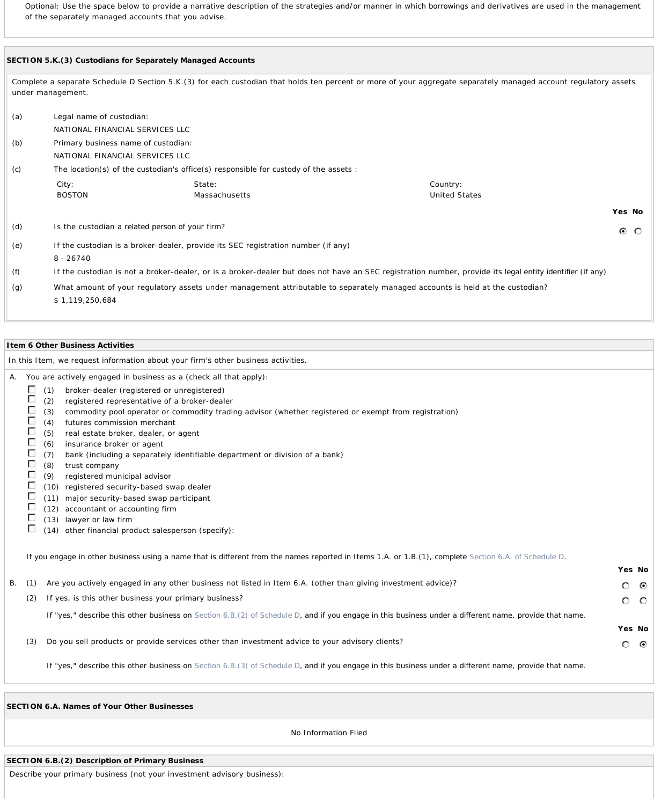Optional: Use the space below to provide a narrative description of the strategies and/or manner in which *borrowings* and derivatives are used in the management of the separately managed accounts that you advise.

# **SECTION 5.K.(3) Custodians for Separately Managed Accounts**

Complete a separate Schedule D Section 5.K.(3) for each custodian that holds ten percent or more of your aggregate separately managed account regulatory assets under management.

| (a) | Legal name of custodian:            |                                                                                             |                                                                                                                                                           |                 |
|-----|-------------------------------------|---------------------------------------------------------------------------------------------|-----------------------------------------------------------------------------------------------------------------------------------------------------------|-----------------|
|     | NATIONAL FINANCIAL SERVICES LLC     |                                                                                             |                                                                                                                                                           |                 |
| (b) | Primary business name of custodian: |                                                                                             |                                                                                                                                                           |                 |
|     | NATIONAL FINANCIAL SERVICES LLC     |                                                                                             |                                                                                                                                                           |                 |
| (c) |                                     | The location(s) of the custodian's office(s) responsible for <i>custody</i> of the assets : |                                                                                                                                                           |                 |
|     | City:                               | State:                                                                                      | Country:                                                                                                                                                  |                 |
|     | <b>BOSTON</b>                       | Massachusetts                                                                               | <b>United States</b>                                                                                                                                      |                 |
|     |                                     |                                                                                             |                                                                                                                                                           | Yes No          |
| (d) |                                     | Is the custodian a related person of your firm?                                             |                                                                                                                                                           | $\circ$ $\circ$ |
| (e) |                                     | If the custodian is a broker-dealer, provide its SEC registration number (if any)           |                                                                                                                                                           |                 |
|     | $8 - 26740$                         |                                                                                             |                                                                                                                                                           |                 |
| (f) |                                     |                                                                                             | If the custodian is not a broker-dealer, or is a broker-dealer but does not have an SEC registration number, provide its legal entity identifier (if any) |                 |
| (g) |                                     |                                                                                             | What amount of your regulatory assets under management attributable to separately managed accounts is held at the custodian?                              |                 |
|     | \$1,119,250,684                     |                                                                                             |                                                                                                                                                           |                 |

|    | <b>Item 6 Other Business Activities</b>                |                                                                                                                                                                                                                                                                                                                                                                                                                                                                                                                                                                                                                                                                                                                                                                                                                                                                                                                                                                            |                   |         |  |  |  |
|----|--------------------------------------------------------|----------------------------------------------------------------------------------------------------------------------------------------------------------------------------------------------------------------------------------------------------------------------------------------------------------------------------------------------------------------------------------------------------------------------------------------------------------------------------------------------------------------------------------------------------------------------------------------------------------------------------------------------------------------------------------------------------------------------------------------------------------------------------------------------------------------------------------------------------------------------------------------------------------------------------------------------------------------------------|-------------------|---------|--|--|--|
|    |                                                        | In this Item, we request information about your firm's other business activities.                                                                                                                                                                                                                                                                                                                                                                                                                                                                                                                                                                                                                                                                                                                                                                                                                                                                                          |                   |         |  |  |  |
|    | $\mathbb{R}^n$<br>Е<br>Г<br>Г<br>Г<br>П<br>Г<br>Г<br>П | A. You are actively engaged in business as a (check all that apply):<br>(1)<br>broker-dealer (registered or unregistered)<br>(2)<br>registered representative of a broker-dealer<br>(3)<br>commodity pool operator or commodity trading advisor (whether registered or exempt from registration)<br>futures commission merchant<br>(4)<br>(5)<br>real estate broker, dealer, or agent<br>(6)<br>insurance broker or agent<br>(7)<br>bank (including a separately identifiable department or division of a bank)<br>(8)<br>trust company<br>(9)<br>registered municipal advisor<br>registered security-based swap dealer<br>(10)<br>major security-based swap participant<br>(11)<br>accountant or accounting firm<br>(12)<br>lawyer or law firm<br>(13)<br>other financial product salesperson (specify):<br>(14)<br>If you engage in other business using a name that is different from the names reported in Items 1.A. or 1.B.(1), complete Section 6.A. of Schedule D. |                   |         |  |  |  |
|    |                                                        |                                                                                                                                                                                                                                                                                                                                                                                                                                                                                                                                                                                                                                                                                                                                                                                                                                                                                                                                                                            | Yes No            |         |  |  |  |
| В. | (1)                                                    | Are you actively engaged in any other business not listed in Item 6.A. (other than giving investment advice)?                                                                                                                                                                                                                                                                                                                                                                                                                                                                                                                                                                                                                                                                                                                                                                                                                                                              | $\circ$           | $\odot$ |  |  |  |
|    | (2)                                                    | If yes, is this other business your primary business?                                                                                                                                                                                                                                                                                                                                                                                                                                                                                                                                                                                                                                                                                                                                                                                                                                                                                                                      | $\circ$           | $\circ$ |  |  |  |
|    | (3)                                                    | If "yes," describe this other business on Section 6.B.(2) of Schedule D, and if you engage in this business under a different name, provide that name.<br>Do you sell products or provide services other than investment advice to your advisory clients?                                                                                                                                                                                                                                                                                                                                                                                                                                                                                                                                                                                                                                                                                                                  | Yes No<br>$\circ$ | ⊙       |  |  |  |
|    |                                                        |                                                                                                                                                                                                                                                                                                                                                                                                                                                                                                                                                                                                                                                                                                                                                                                                                                                                                                                                                                            |                   |         |  |  |  |

*If "yes," describe this other business on Section 6.B.(3) of Schedule D, and if you engage in this business under a different name, provide that name.*

# **SECTION 6.A. Names of Your Other Businesses**

No Information Filed

Describe your primary business (not your investment advisory business):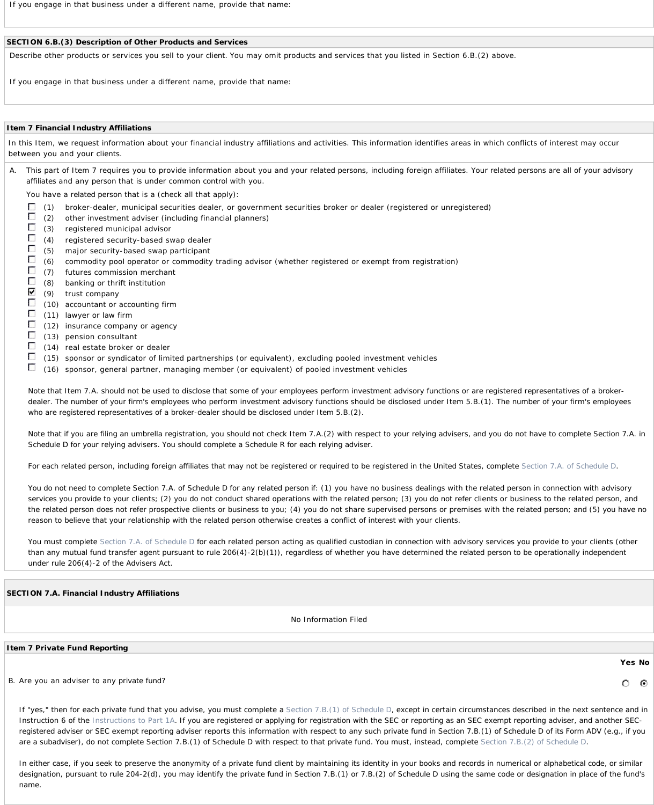If you engage in that business under a different name, provide that name:

### **SECTION 6.B.(3) Description of Other Products and Services**

Describe other products or services you sell to your *client*. You may omit products and services that you listed in Section 6.B.(2) above.

If you engage in that business under a different name, provide that name:

### **Item 7 Financial Industry Affiliations**

In this Item, we request information about your financial industry affiliations and activities. This information identifies areas in which conflicts of interest may occur between you and your *clients*.

A. This part of Item 7 requires you to provide information about you and your *related persons*, including foreign affiliates. Your *related persons* are all of your *advisory affiliates* and any *person* that is under common *control* with you.

You have a *related person* that is a (check all that apply):

- $\Box$  (1) broker-dealer, municipal securities dealer, or government securities broker or dealer (registered or unregistered)
- П (2) other investment adviser (including financial planners)
- $\overline{\phantom{a}}$ (3) registered municipal advisor
- $(4)$  registered security-based swap dealer
- $\Box$  (5) major security-based swap participant
- $\mathcal{A}$ (6) commodity pool operator or commodity trading advisor (whether registered or exempt from registration)
- (7) futures commission merchant
- (8) banking or thrift institution
- $\blacktriangledown$ (9) trust company
- Г (10) accountant or accounting firm
- Г (11) lawyer or law firm
- Г (12) insurance company or agency
- Г (13) pension consultant
- Г (14) real estate broker or dealer
- П (15) sponsor or syndicator of limited partnerships (or equivalent), excluding pooled investment vehicles
- (16) sponsor, general partner, managing member (or equivalent) of pooled investment vehicles

*Note that Item 7.A. should not be used to disclose that some of your employees perform investment advisory functions or are registered representatives of a brokerdealer. The number of your firm's employees who perform investment advisory functions should be disclosed under Item 5.B.(1). The number of your firm's employees who are registered representatives of a broker-dealer should be disclosed under Item 5.B.(2).* 

*Note that if you are filing an umbrella registration, you should not check Item 7.A.(2) with respect to your relying advisers, and you do not have to complete Section 7.A. in Schedule D for your relying advisers. You should complete a Schedule R for each relying adviser.* 

*For each related person, including foreign affiliates that may not be registered or required to be registered in the United States, complete Section 7.A. of Schedule D.* 

*You do not need to complete Section 7.A. of Schedule D for any related person if: (1) you have no business dealings with the related person in connection with advisory services you provide to your clients; (2) you do not conduct shared operations with the related person; (3) you do not refer clients or business to the related person, and the related person does not refer prospective clients or business to you; (4) you do not share supervised persons or premises with the related person; and (5) you have no reason to believe that your relationship with the related person otherwise creates a conflict of interest with your clients.* 

*You must complete Section 7.A. of Schedule D for each related person acting as qualified custodian in connection with advisory services you provide to your clients (other than any mutual fund transfer agent pursuant to rule 206(4)-2(b)(1)), regardless of whether you have determined the related person to be operationally independent under rule 206(4)-2 of the Advisers Act.*

### **SECTION 7.A. Financial Industry Affiliations**

B. Are you an adviser to any *private fund*?

No Information Filed

#### **Item 7** *Private Fund* **Reporting**

**Yes No**

െ ൈ

*If "yes," then for each private fund that you advise, you must complete a Section 7.B.(1) of Schedule D, except in certain circumstances described in the next sentence and in Instruction 6 of the Instructions to Part 1A. If you are registered or applying for registration with the SEC or reporting as an SEC exempt reporting adviser, and another SECregistered adviser or SEC exempt reporting adviser reports this information with respect to any such private fund in Section 7.B.(1) of Schedule D of its Form ADV (e.g., if you are a subadviser), do not complete Section 7.B.(1) of Schedule D with respect to that private fund. You must, instead, complete Section 7.B.(2) of Schedule D.* 

*In either case, if you seek to preserve the anonymity of a private fund client by maintaining its identity in your books and records in numerical or alphabetical code, or similar designation, pursuant to rule 204-2(d), you may identify the private fund in Section 7.B.(1) or 7.B.(2) of Schedule D using the same code or designation in place of the fund's name.*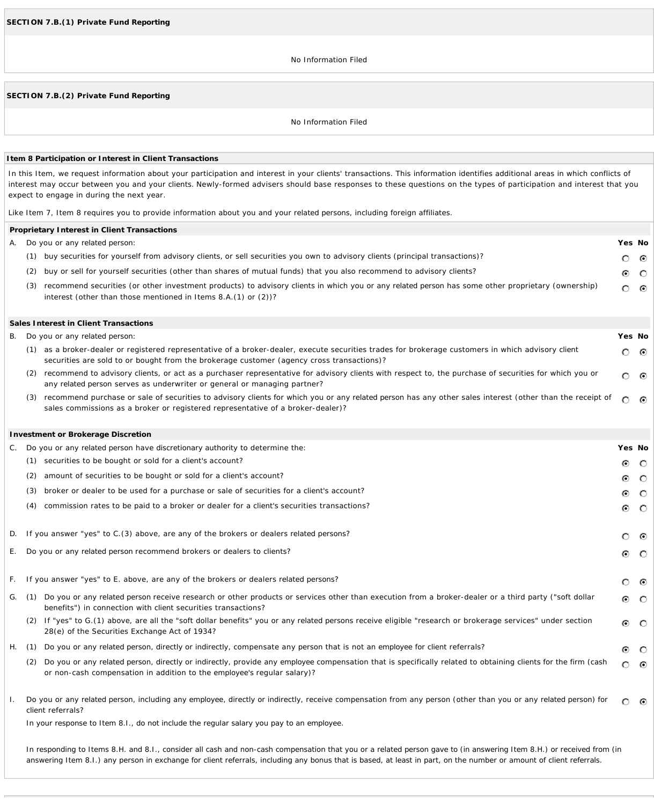No Information Filed

**SECTION 7.B.(2)** *Private Fund* **Reporting**

No Information Filed

#### **Item 8 Participation or Interest in** *Client* **Transactions**

In this Item, we request information about your participation and interest in your *clients*' transactions. This information identifies additional areas in which conflicts of interest may occur between you and your *clients*. Newly-formed advisers should base responses to these questions on the types of participation and interest that you expect to engage in during the next year.

Like Item 7, Item 8 requires you to provide information about you and your *related persons*, including foreign affiliates.

#### **Proprietary Interest in** *Client* **Transactions**

A. Do you or any *related person*: **Yes No** (1) buy securities for yourself from advisory *clients*, or sell securities you own to advisory *clients* (principal transactions)?  $\circ$  $\odot$ (2) buy or sell for yourself securities (other than shares of mutual funds) that you also recommend to advisory *clients*? ۰  $\circ$ (3) recommend securities (or other investment products) to advisory *clients* in which you or any *related person* has some other proprietary (ownership)  $\circ$ ⊙ interest (other than those mentioned in Items 8.A.(1) or (2))?

#### **Sales Interest in** *Client* **Transactions**

B. Do you or any *related person*: **Yes No**

(1) as a broker-dealer or registered representative of a broker-dealer, execute securities trades for brokerage customers in which advisory *client* О ⊙ securities are sold to or bought from the brokerage customer (agency cross transactions)?

(2) recommend to advisory *clients*, or act as a purchaser representative for advisory *clients* with respect to, the purchase of securities for which you or О ⊙ any *related person* serves as underwriter or general or managing partner?

(3) recommend purchase or sale of securities to advisory *clients* for which you or any *related person* has any other sales interest (other than the receipt of  $\circ$  $\odot$ sales commissions as a broker or registered representative of a broker-dealer)?

#### **Investment or Brokerage Discretion**

| С. | Do you or any related person have discretionary authority to determine the:                                                                                                                                                                    |         | Yes No          |
|----|------------------------------------------------------------------------------------------------------------------------------------------------------------------------------------------------------------------------------------------------|---------|-----------------|
|    | securities to be bought or sold for a <i>client's</i> account?<br>(1)                                                                                                                                                                          |         | $\circ$ $\circ$ |
|    | amount of securities to be bought or sold for a client's account?<br>(2)                                                                                                                                                                       |         | $\circ$ $\circ$ |
|    | (3)<br>broker or dealer to be used for a purchase or sale of securities for a <i>client's</i> account?                                                                                                                                         |         | $\circ$ $\circ$ |
|    | commission rates to be paid to a broker or dealer for a <i>client's</i> securities transactions?<br>(4)                                                                                                                                        |         | $\circ$ $\circ$ |
|    | D. If you answer "yes" to C.(3) above, are any of the brokers or dealers related persons?                                                                                                                                                      |         | ் ⊚             |
|    | E. Do you or any related person recommend brokers or dealers to clients?                                                                                                                                                                       |         | $\circ$ $\circ$ |
| F. | If you answer "yes" to E. above, are any of the brokers or dealers related persons?                                                                                                                                                            |         | ் ⊚             |
|    | Do you or any related person receive research or other products or services other than execution from a broker-dealer or a third party ("soft dollar<br>G. (1)<br>benefits") in connection with <i>client</i> securities transactions?         |         | $\circ$ $\circ$ |
|    | If "yes" to G.(1) above, are all the "soft dollar benefits" you or any related persons receive eligible "research or brokerage services" under section<br>(2)<br>28(e) of the Securities Exchange Act of 1934?                                 |         | $\circ$ $\circ$ |
|    | Do you or any related person, directly or indirectly, compensate any person that is not an employee for client referrals?<br>H. (1)                                                                                                            |         | $\circ$ $\circ$ |
|    | Do you or any related person, directly or indirectly, provide any employee compensation that is specifically related to obtaining clients for the firm (cash<br>(2)<br>or non-cash compensation in addition to the employee's regular salary)? |         | $\circ$ $\circ$ |
|    | Do you or any related person, including any employee, directly or indirectly, receive compensation from any person (other than you or any related person) for<br>client referrals?                                                             | $\circ$ | - 0             |
|    | In your response to Item 8.1 do not include the require salary you pay to an employee                                                                                                                                                          |         |                 |

*In your response to Item 8.I., do not include the regular salary you pay to an employee.*

*In responding to Items 8.H. and 8.I., consider all cash and non-cash compensation that you or a related person gave to (in answering Item 8.H.) or received from (in answering Item 8.I.) any person in exchange for client referrals, including any bonus that is based, at least in part, on the number or amount of client referrals.*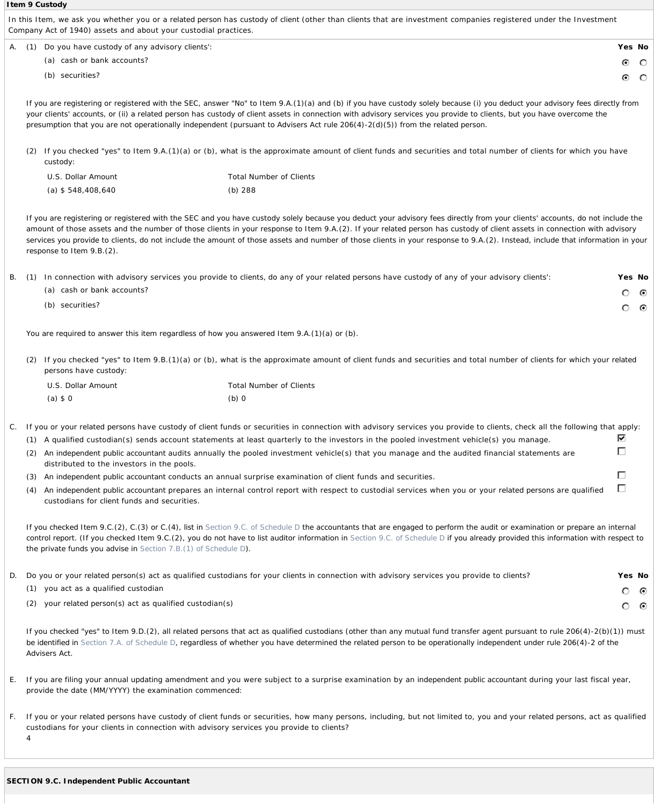|    |     | Company Act of 1940) assets and about your custodial practices.                                                                                                                                                   |                                                                                                                                                                                                                                                                                                                                                                                                                                                                                                                                           |   |                 |  |  |  |  |
|----|-----|-------------------------------------------------------------------------------------------------------------------------------------------------------------------------------------------------------------------|-------------------------------------------------------------------------------------------------------------------------------------------------------------------------------------------------------------------------------------------------------------------------------------------------------------------------------------------------------------------------------------------------------------------------------------------------------------------------------------------------------------------------------------------|---|-----------------|--|--|--|--|
|    |     | A. (1) Do you have custody of any advisory clients':                                                                                                                                                              |                                                                                                                                                                                                                                                                                                                                                                                                                                                                                                                                           |   | Yes No          |  |  |  |  |
|    |     | (a) cash or bank accounts?                                                                                                                                                                                        |                                                                                                                                                                                                                                                                                                                                                                                                                                                                                                                                           | ⊙ | $\circ$         |  |  |  |  |
|    |     | (b) securities?                                                                                                                                                                                                   |                                                                                                                                                                                                                                                                                                                                                                                                                                                                                                                                           |   | $\circ$ $\circ$ |  |  |  |  |
|    |     |                                                                                                                                                                                                                   | If you are registering or registered with the SEC, answer "No" to Item 9.A.(1)(a) and (b) if you have custody solely because (i) you deduct your advisory fees directly from<br>your clients' accounts, or (ii) a related person has custody of client assets in connection with advisory services you provide to clients, but you have overcome the<br>presumption that you are not operationally independent (pursuant to Advisers Act rule 206(4)-2(d)(5)) from the related person.                                                    |   |                 |  |  |  |  |
|    | (2) | custody:                                                                                                                                                                                                          | If you checked "yes" to Item 9.A.(1)(a) or (b), what is the approximate amount of client funds and securities and total number of clients for which you have                                                                                                                                                                                                                                                                                                                                                                              |   |                 |  |  |  |  |
|    |     | U.S. Dollar Amount                                                                                                                                                                                                | Total Number of Clients                                                                                                                                                                                                                                                                                                                                                                                                                                                                                                                   |   |                 |  |  |  |  |
|    |     | (a) $$548,408,640$<br>(b) 288                                                                                                                                                                                     |                                                                                                                                                                                                                                                                                                                                                                                                                                                                                                                                           |   |                 |  |  |  |  |
|    |     | response to Item 9.B.(2).                                                                                                                                                                                         | If you are registering or registered with the SEC and you have custody solely because you deduct your advisory fees directly from your clients' accounts, do not include the<br>amount of those assets and the number of those clients in your response to Item 9.A.(2). If your related person has custody of client assets in connection with advisory<br>services you provide to clients, do not include the amount of those assets and number of those clients in your response to 9.A.(2). Instead, include that information in your |   |                 |  |  |  |  |
| В. | (1) |                                                                                                                                                                                                                   | In connection with advisory services you provide to clients, do any of your related persons have custody of any of your advisory clients':                                                                                                                                                                                                                                                                                                                                                                                                |   | Yes No          |  |  |  |  |
|    |     | (a) cash or bank accounts?                                                                                                                                                                                        |                                                                                                                                                                                                                                                                                                                                                                                                                                                                                                                                           |   | $\circ$ $\circ$ |  |  |  |  |
|    |     | (b) securities?                                                                                                                                                                                                   |                                                                                                                                                                                                                                                                                                                                                                                                                                                                                                                                           |   | $\circ$ $\circ$ |  |  |  |  |
|    |     | You are required to answer this item regardless of how you answered Item 9.A. $(1)(a)$ or (b).                                                                                                                    |                                                                                                                                                                                                                                                                                                                                                                                                                                                                                                                                           |   |                 |  |  |  |  |
|    | (2) | persons have custody:                                                                                                                                                                                             | If you checked "yes" to Item 9.B.(1)(a) or (b), what is the approximate amount of client funds and securities and total number of clients for which your related                                                                                                                                                                                                                                                                                                                                                                          |   |                 |  |  |  |  |
|    |     | U.S. Dollar Amount                                                                                                                                                                                                | Total Number of Clients                                                                                                                                                                                                                                                                                                                                                                                                                                                                                                                   |   |                 |  |  |  |  |
|    |     | (a) $$0$<br>$(b)$ 0                                                                                                                                                                                               |                                                                                                                                                                                                                                                                                                                                                                                                                                                                                                                                           |   |                 |  |  |  |  |
| С. |     |                                                                                                                                                                                                                   | If you or your related persons have custody of client funds or securities in connection with advisory services you provide to clients, check all the following that apply:                                                                                                                                                                                                                                                                                                                                                                |   |                 |  |  |  |  |
|    | (1) |                                                                                                                                                                                                                   | A qualified custodian(s) sends account statements at least quarterly to the investors in the pooled investment vehicle(s) you manage.                                                                                                                                                                                                                                                                                                                                                                                                     | ⊽ |                 |  |  |  |  |
|    | (2) | distributed to the investors in the pools.                                                                                                                                                                        | An independent public accountant audits annually the pooled investment vehicle(s) that you manage and the audited financial statements are                                                                                                                                                                                                                                                                                                                                                                                                | Г |                 |  |  |  |  |
|    | (3) | An independent public accountant conducts an annual surprise examination of client funds and securities.                                                                                                          |                                                                                                                                                                                                                                                                                                                                                                                                                                                                                                                                           | Е |                 |  |  |  |  |
|    | (4) | Г<br>An independent public accountant prepares an internal control report with respect to custodial services when you or your related persons are qualified<br>custodians for <i>client</i> funds and securities. |                                                                                                                                                                                                                                                                                                                                                                                                                                                                                                                                           |   |                 |  |  |  |  |
|    |     | the private funds you advise in Section 7.B. (1) of Schedule D).                                                                                                                                                  | If you checked Item 9.C.(2), C.(3) or C.(4), list in Section 9.C. of Schedule D the accountants that are engaged to perform the audit or examination or prepare an internal<br>control report. (If you checked Item 9.C.(2), you do not have to list auditor information in Section 9.C. of Schedule D if you already provided this information with respect to                                                                                                                                                                           |   |                 |  |  |  |  |
| D. |     |                                                                                                                                                                                                                   | Do you or your related person(s) act as qualified custodians for your clients in connection with advisory services you provide to clients?                                                                                                                                                                                                                                                                                                                                                                                                |   | Yes No          |  |  |  |  |
|    |     | (1) you act as a qualified custodian                                                                                                                                                                              |                                                                                                                                                                                                                                                                                                                                                                                                                                                                                                                                           | О | - 0             |  |  |  |  |
|    | (2) | your related person(s) act as qualified custodian(s)                                                                                                                                                              |                                                                                                                                                                                                                                                                                                                                                                                                                                                                                                                                           | O | ⊙               |  |  |  |  |
|    |     | Advisers Act.                                                                                                                                                                                                     | If you checked "yes" to Item 9.D.(2), all related persons that act as qualified custodians (other than any mutual fund transfer agent pursuant to rule 206(4)-2(b)(1)) must<br>be identified in Section 7.A. of Schedule D, regardless of whether you have determined the related person to be operationally independent under rule 206(4)-2 of the                                                                                                                                                                                       |   |                 |  |  |  |  |

- E. If you are filing your *annual updating amendment* and you were subject to a surprise examination by an *independent public accountant* during your last fiscal year, provide the date (MM/YYYY) the examination commenced:
- F. If you or your *related persons* have *custody* of *client* funds or securities, how many *persons*, including, but not limited to, you and your *related persons,* act as qualified custodians for your *clients* in connection with advisory services you provide to *clients?* 4

**Item 9 Custody**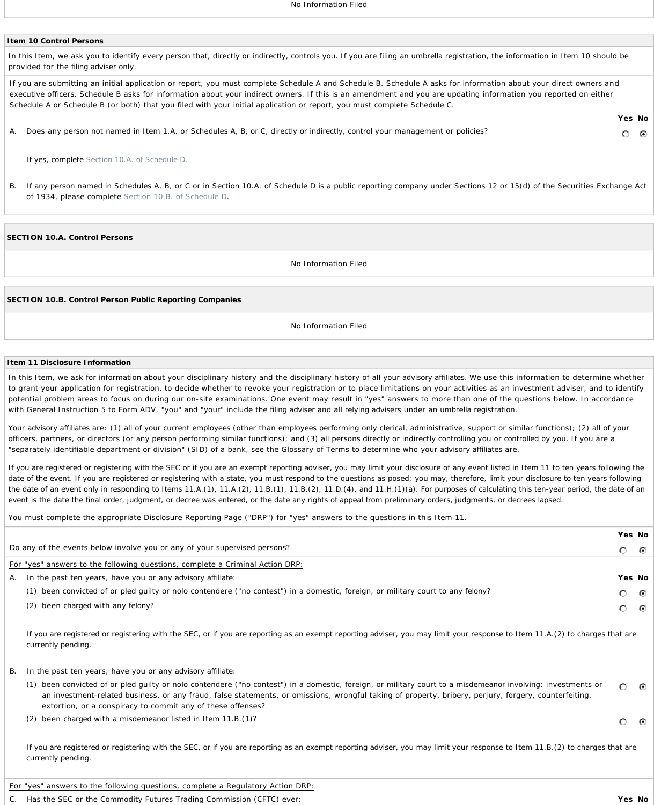### **Item 10 Control Persons**

In this Item, we ask you to identify every *person* that, directly or indirectly, *controls* you. If you are filing an *umbrella registration*, the information in Item 10 should be provided for the *filing adviser* only.

If you are submitting an initial application or report, you must complete Schedule A and Schedule B. Schedule A asks for information about your direct owners and executive officers. Schedule B asks for information about your indirect owners. If this is an amendment and you are updating information you reported on either Schedule A or Schedule B (or both) that you filed with your initial application or report, you must complete Schedule C.

A. Does any *person* not named in Item 1.A. or Schedules A, B, or C, directly or indirectly, *control* your management or policies?

**Yes No**

 $\circ$  $_{\odot}$ 

*If yes, complete Section 10.A. of Schedule D.*

If any *person* named in Schedules A, B, or C or in Section 10.A. of Schedule D is a public reporting company under Sections 12 or 15(d) of the Securities Exchange Act of 1934, please complete Section 10.B. of Schedule D.

#### **SECTION 10.A.** *Control Persons*

No Information Filed

**SECTION 10.B.** *Control Person* **Public Reporting Companies**

No Information Filed

### **Item 11 Disclosure Information**

In this Item, we ask for information about your disciplinary history and the disciplinary history of all your *advisory affiliates*. We use this information to determine whether to grant your application for registration, to decide whether to revoke your registration or to place limitations on your activities as an investment adviser, and to identify potential problem areas to focus on during our on-site examinations. One event may result in "yes" answers to more than one of the questions below. In accordance with General Instruction 5 to Form ADV, "you" and "your" include the *filing adviser* and all *relying advisers* under an *umbrella registration*.

Your *advisory affiliates* are: (1) all of your current *employees* (other than *employees* performing only clerical, administrative, support or similar functions); (2) all of your officers, partners, or directors (or any *person* performing similar functions); and (3) all *persons* directly or indirectly *controlling* you or *controlled* by you. If you are a "separately identifiable department or division" (SID) of a bank, see the Glossary of Terms to determine who your *advisory affiliates* are.

*If you are registered or registering with the SEC or if you are an exempt reporting adviser, you may limit your disclosure of any event listed in Item 11 to ten years following the date of the event. If you are registered or registering with a state, you must respond to the questions as posed; you may, therefore, limit your disclosure to ten years following the date of an event only in responding to Items 11.A.(1), 11.A.(2), 11.B.(1), 11.B.(2), 11.D.(4), and 11.H.(1)(a). For purposes of calculating this ten-year period, the date of an event is the date the final order, judgment, or decree was entered, or the date any rights of appeal from preliminary orders, judgments, or decrees lapsed.*

You must complete the appropriate Disclosure Reporting Page ("DRP") for "yes" answers to the questions in this Item 11.

|                                                                                                                                    | Yes No    |
|------------------------------------------------------------------------------------------------------------------------------------|-----------|
| Do any of the events below involve you or any of your supervised persons?                                                          | O.<br>- 0 |
| For "yes" answers to the following questions, complete a Criminal Action DRP:                                                      |           |
| A. In the past ten years, have you or any advisory affiliate:                                                                      | Yes No    |
| been convicted of or pled guilty or nolo contendere ("no contest") in a domestic, foreign, or military court to any felony?<br>(1) | - 0<br>o  |
| (2) been charged with any felony?                                                                                                  | O.<br>- 0 |

*If you are registered or registering with the SEC, or if you are reporting as an exempt reporting adviser, you may limit your response to Item 11.A.(2) to charges that are currently pending.*

B. In the past ten years, have you or any *advisory affiliate*:

(1) been convicted of or pled guilty or nolo contendere ("no contest") in a domestic, foreign, or military court to a *misdemeanor* involving: investments or  $\circ$  $\odot$ an *investment-related* business, or any fraud, false statements, or omissions, wrongful taking of property, bribery, perjury, forgery, counterfeiting, extortion, or a conspiracy to commit any of these offenses?

(2) been *charged* with a *misdemeanor* listed in Item 11.B.(1)?

*If you are registered or registering with the SEC, or if you are reporting as an exempt reporting adviser, you may limit your response to Item 11.B.(2) to charges that are currently pending.*

For "yes" answers to the following questions, complete a Regulatory Action DRP:

C. Has the SEC or the Commodity Futures Trading Commission (CFTC) ever: **Yes No**

 $\circ$ 

 $\odot$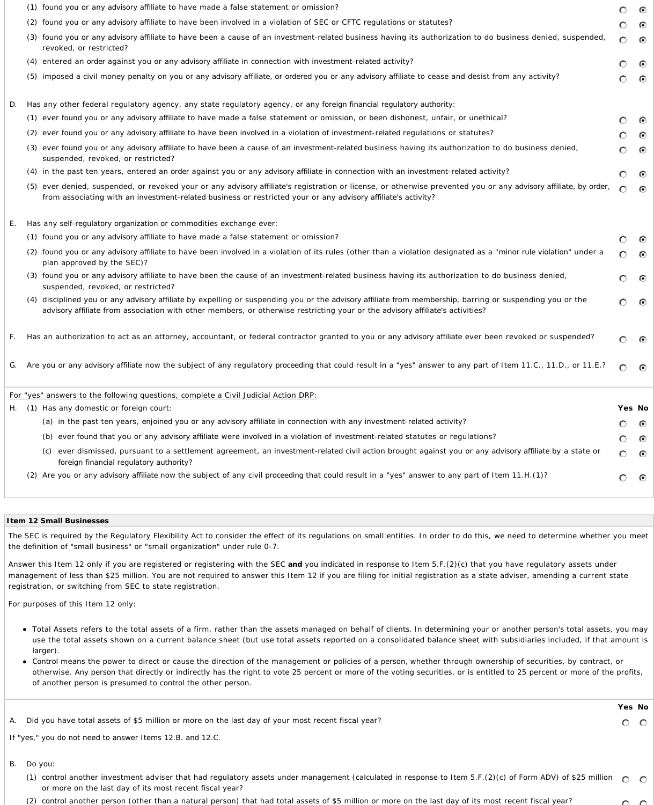|    | (1) found you or any advisory affiliate to have made a false statement or omission?                                                                                                                                                                                                       |         |         |
|----|-------------------------------------------------------------------------------------------------------------------------------------------------------------------------------------------------------------------------------------------------------------------------------------------|---------|---------|
|    | found you or any advisory affiliate to have been involved in a violation of SEC or CFTC regulations or statutes?<br>(2)                                                                                                                                                                   |         | ⊙       |
|    | found you or any advisory affiliate to have been a cause of an investment-related business having its authorization to do business denied, suspended<br>(3)<br>revoked, or restricted?                                                                                                    | $\circ$ | ⊙       |
|    | (4) entered an order against you or any advisory affiliate in connection with investment-related activity?                                                                                                                                                                                | о       | ⊙       |
|    | imposed a civil money penalty on you or any advisory affiliate, or ordered you or any advisory affiliate to cease and desist from any activity?<br>(5)                                                                                                                                    | О       | ⊙       |
| D. | Has any other federal regulatory agency, any state regulatory agency, or any foreign financial regulatory authority:                                                                                                                                                                      |         |         |
|    | (1) ever found you or any advisory affiliate to have made a false statement or omission, or been dishonest, unfair, or unethical?                                                                                                                                                         | С       | $\odot$ |
|    | ever found you or any advisory affiliate to have been involved in a violation of investment-related regulations or statutes?<br>(2)                                                                                                                                                       |         | ⊙       |
|    | ever found you or any advisory affiliate to have been a cause of an investment-related business having its authorization to do business denied,<br>(3)<br>suspended, revoked, or restricted?                                                                                              | O       | ⊙       |
|    | (4) in the past ten years, entered an order against you or any advisory affiliate in connection with an investment-related activity?                                                                                                                                                      |         | ⊙       |
|    | ever denied, suspended, or revoked your or any advisory affiliate's registration or license, or otherwise prevented you or any advisory affiliate, by order,<br>(5)<br>from associating with an investment-related business or restricted your or any advisory affiliate's activity?      | $\circ$ | ⊙       |
| Е. | Has any self-regulatory organization or commodities exchange ever:                                                                                                                                                                                                                        |         |         |
|    | (1) found you or any advisory affiliate to have made a false statement or omission?                                                                                                                                                                                                       | O       | ⊙       |
|    | found you or any advisory affiliate to have been involved in a violation of its rules (other than a violation designated as a "minor rule violation" under a<br>(2)<br>plan approved by the SEC)?                                                                                         | O       | ⊙       |
|    | found you or any advisory affiliate to have been the cause of an investment-related business having its authorization to do business denied,<br>suspended, revoked, or restricted?                                                                                                        | O       | ⊙       |
|    | (4) disciplined you or any advisory affiliate by expelling or suspending you or the advisory affiliate from membership, barring or suspending you or the<br>advisory affiliate from association with other members, or otherwise restricting your or the advisory affiliate's activities? | Ο       | - 0     |
|    | Has an authorization to act as an attorney, accountant, or federal contractor granted to you or any advisory affiliate ever been revoked or suspended?                                                                                                                                    | O       | ⊙       |
|    | G. Are you or any advisory affiliate now the subject of any regulatory proceeding that could result in a "yes" answer to any part of Item 11.C., 11.D., or 11.E.?                                                                                                                         | O       | ⊙       |
|    | For "yes" answers to the following questions, complete a Civil Judicial Action DRP:                                                                                                                                                                                                       |         |         |
|    | H. (1) Has any domestic or foreign court:                                                                                                                                                                                                                                                 |         | Yes No  |
|    | (a) in the past ten years, enjoined you or any advisory affiliate in connection with any investment-related activity?                                                                                                                                                                     | O       | ⊙       |
|    | (b) ever found that you or any advisory affiliate were involved in a violation of investment-related statutes or regulations?                                                                                                                                                             | О       | ⊙       |
|    | ever dismissed, pursuant to a settlement agreement, an investment-related civil action brought against you or any advisory affiliate by a state or<br>foreign financial regulatory authority?                                                                                             | O       | ⊙       |
|    | (2) Are you or any advisory affiliate now the subject of any civil proceeding that could result in a "yes" answer to any part of Item 11.H.(1)?                                                                                                                                           | О       | ⊙       |

# **Item 12 Small Businesses**

The SEC is required by the Regulatory Flexibility Act to consider the effect of its regulations on small entities. In order to do this, we need to determine whether you meet the definition of "small business" or "small organization" under rule 0-7.

Answer this Item 12 only if you are registered or registering with the SEC **and** you indicated in response to Item 5.F.(2)(c) that you have regulatory assets under management of less than \$25 million. You are not required to answer this Item 12 if you are filing for initial registration as a state adviser, amending a current state registration, or switching from SEC to state registration.

For purposes of this Item 12 only:

- Total Assets refers to the total assets of a firm, rather than the assets managed on behalf of *clients*. In determining your or another *person's* total assets, you may use the total assets shown on a current balance sheet (but use total assets reported on a consolidated balance sheet with subsidiaries included, if that amount is larger).
- *Control* means the power to direct or cause the direction of the management or policies of a *person*, whether through ownership of securities, by contract, or otherwise. Any *person* that directly or indirectly has the right to vote 25 percent or more of the voting securities, or is entitled to 25 percent or more of the profits, of another *person* is presumed to *control* the other *person*.

| A. Did you have total assets of \$5 million or more on the last day of your most recent fiscal year? | $\circ$ $\circ$ |  |
|------------------------------------------------------------------------------------------------------|-----------------|--|
|                                                                                                      |                 |  |

*If "yes," you do not need to answer Items 12.B. and 12.C.*

### B. Do you:

(1) *control* another investment adviser that had regulatory assets under management (calculated in response to Item 5.F.(2)(c) of Form ADV) of \$25 million or more on the last day of its most recent fiscal year?

(2) *control* another *person* (other than a natural person) that had total assets of \$5 million or more on the last day of its most recent fiscal year?

⌒  $\sim$ 

**Yes No**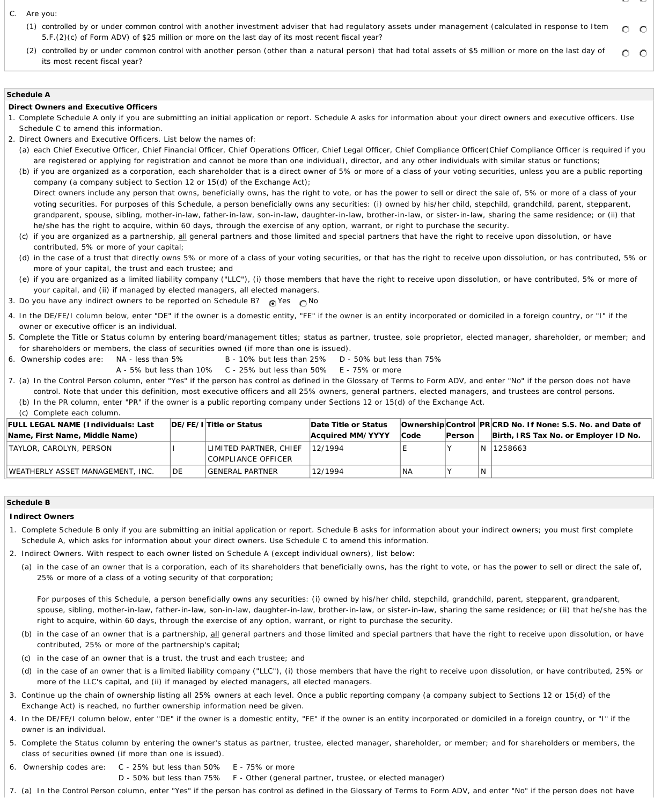- C. Are you:
	- (1) *controlled* by or under common *control* with another investment adviser that had regulatory assets under management (calculated in response to Item  $\circ$   $\circ$ 5.F.(2)(c) of Form ADV) of \$25 million or more on the last day of its most recent fiscal year?

(2) *control* another *person* (other than a natural person) that had total assets of \$5 million or more on the last day of its most recent fiscal year?

(2) *controlled* by or under common *control* with another *person* (other than a natural person) that had total assets of \$5 million or more on the last day of  $O$   $O$ its most recent fiscal year?

### **Schedule A**

### **Direct Owners and Executive Officers**

- 1. Complete Schedule A only if you are submitting an initial application or report. Schedule A asks for information about your direct owners and executive officers. Use Schedule C to amend this information.
- 2. Direct Owners and Executive Officers. List below the names of:
	- (a) each Chief Executive Officer, Chief Financial Officer, Chief Operations Officer, Chief Legal Officer, Chief Compliance Officer(Chief Compliance Officer is required if you are registered or applying for registration and cannot be more than one individual), director, and any other individuals with similar status or functions;
	- (b) if you are organized as a corporation, each shareholder that is a direct owner of 5% or more of a class of your voting securities, unless you are a public reporting company (a company subject to Section 12 or 15(d) of the Exchange Act); Direct owners include any *person* that owns, beneficially owns, has the right to vote, or has the power to sell or direct the sale of, 5% or more of a class of your
	- voting securities. For purposes of this Schedule, a *person* beneficially owns any securities: (i) owned by his/her child, stepchild, grandchild, parent, stepparent, grandparent, spouse, sibling, mother-in-law, father-in-law, son-in-law, daughter-in-law, brother-in-law, or sister-in-law, sharing the same residence; or (ii) that he/she has the right to acquire, within 60 days, through the exercise of any option, warrant, or right to purchase the security.
	- (c) if you are organized as a partnership, all general partners and those limited and special partners that have the right to receive upon dissolution, or have contributed, 5% or more of your capital;
	- (d) in the case of a trust that directly owns 5% or more of a class of your voting securities, or that has the right to receive upon dissolution, or has contributed, 5% or more of your capital, the trust and each trustee; and
	- (e) if you are organized as a limited liability company ("LLC"), (i) those members that have the right to receive upon dissolution, or have contributed, 5% or more of your capital, and (ii) if managed by elected managers, all elected managers.
- 3. Do you have any indirect owners to be reported on Schedule B?  $\odot$  Yes  $\odot$  No
- 4. In the DE/FE/I column below, enter "DE" if the owner is a domestic entity, "FE" if the owner is an entity incorporated or domiciled in a foreign country, or "I" if the owner or executive officer is an individual.
- 5. Complete the Title or Status column by entering board/management titles; status as partner, trustee, sole proprietor, elected manager, shareholder, or member; and for shareholders or members, the class of securities owned (if more than one is issued).
- 6. Ownership codes are: NA less than 5% B 10% but less than 25% D 50% but less than 75%
	- A 5% but less than 10% C 25% but less than 50% E 75% or more
- 7. (a) In the *Control Person* column, enter "Yes" if the *person* has *control* as defined in the Glossary of Terms to Form ADV, and enter "No" if the *person* does not have *control*. Note that under this definition, most executive officers and all 25% owners, general partners, elected managers, and trustees are *control persons*. (b) In the PR column, enter "PR" if the owner is a public reporting company under Sections 12 or 15(d) of the Exchange Act.
	- (c) Complete each column.

| FULL LEGAL NAME (Individuals: Last |      | DE/FE/I Title or Status                      | Date Title or Status |       |        | Ownership Control PRCRD No. If None: S.S. No. and Date of |
|------------------------------------|------|----------------------------------------------|----------------------|-------|--------|-----------------------------------------------------------|
| Name, First Name, Middle Name)     |      |                                              | Acquired MM/YYYY     | ∣Code | Person | Birth, IRS Tax No. or Employer ID No.                     |
| TAYLOR, CAROLYN, PERSON            |      | LIMITED PARTNER, CHIEF<br>COMPLIANCE OFFICER | 12/1994              |       |        | 1258663                                                   |
| WEATHERLY ASSET MANAGEMENT, INC.   | l DE | <b>GENERAL PARTNER</b>                       | 12/1994              | NA    |        |                                                           |

#### **Schedule B**

#### **Indirect Owners**

- 1. Complete Schedule B only if you are submitting an initial application or report. Schedule B asks for information about your indirect owners; you must first complete Schedule A, which asks for information about your direct owners. Use Schedule C to amend this information.
- 2. Indirect Owners. With respect to each owner listed on Schedule A (except individual owners), list below:
	- (a) in the case of an owner that is a corporation, each of its shareholders that beneficially owns, has the right to vote, or has the power to sell or direct the sale of, 25% or more of a class of a voting security of that corporation;

For purposes of this Schedule, a *person* beneficially owns any securities: (i) owned by his/her child, stepchild, grandchild, parent, stepparent, grandparent, spouse, sibling, mother-in-law, father-in-law, son-in-law, daughter-in-law, brother-in-law, or sister-in-law, sharing the same residence; or (ii) that he/she has the right to acquire, within 60 days, through the exercise of any option, warrant, or right to purchase the security.

- (b) in the case of an owner that is a partnership, all general partners and those limited and special partners that have the right to receive upon dissolution, or have contributed, 25% or more of the partnership's capital;
- (c) in the case of an owner that is a trust, the trust and each trustee; and
- (d) in the case of an owner that is a limited liability company ("LLC"), (i) those members that have the right to receive upon dissolution, or have contributed, 25% or more of the LLC's capital, and (ii) if managed by elected managers, all elected managers.
- 3. Continue up the chain of ownership listing all 25% owners at each level. Once a public reporting company (a company subject to Sections 12 or 15(d) of the Exchange Act) is reached, no further ownership information need be given.
- 4. In the DE/FE/I column below, enter "DE" if the owner is a domestic entity, "FE" if the owner is an entity incorporated or domiciled in a foreign country, or "I" if the owner is an individual.
- 5. Complete the Status column by entering the owner's status as partner, trustee, elected manager, shareholder, or member; and for shareholders or members, the class of securities owned (if more than one is issued).
- 6. Ownership codes are: C 25% but less than 50% E 75% or more

D - 50% but less than 75% F - Other (general partner, trustee, or elected manager)

7. (a) In the *Control Person* column, enter "Yes" if the *person* has *control* as defined in the Glossary of Terms to Form ADV, and enter "No" if the *person* does not have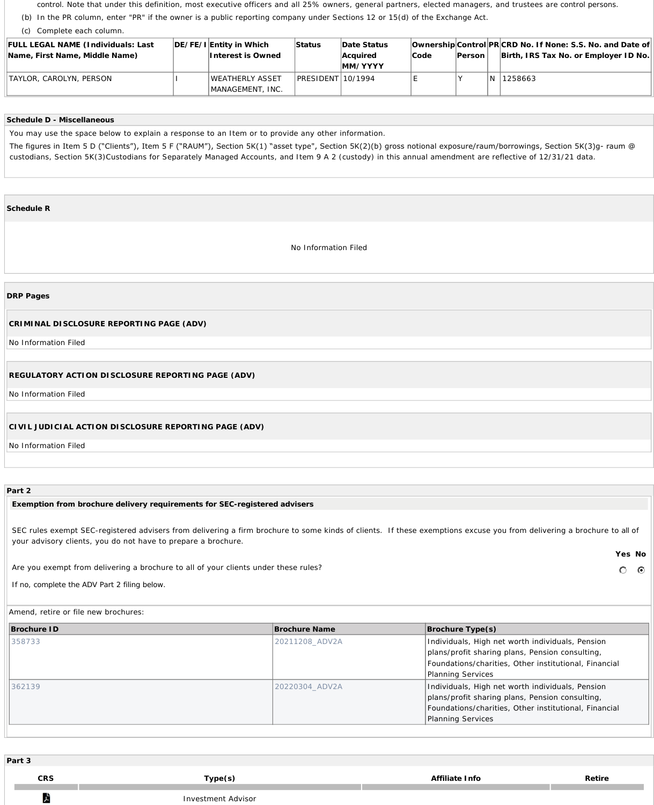*control*. Note that under this definition, most executive officers and all 25% owners, general partners, elected managers, and trustees are *control persons*.

(b) In the PR column, enter "PR" if the owner is a public reporting company under Sections 12 or 15(d) of the Exchange Act.

(c) Complete each column.

| FULL LEGAL NAME (Individuals: Last<br>Name, First Name, Middle Name) | DE/FE/I Entity in Which<br>Interest is Owned | Status              | Date Status<br>Acquired | Code | Person | Ownership Control PR CRD No. If None: S.S. No. and Date of<br>Birth, IRS Tax No. or Employer ID No. |
|----------------------------------------------------------------------|----------------------------------------------|---------------------|-------------------------|------|--------|-----------------------------------------------------------------------------------------------------|
|                                                                      |                                              |                     | MM/YYYY                 |      |        |                                                                                                     |
| TAYLOR, CAROLYN, PERSON                                              | WEATHERLY ASSET                              | PRESIDENT   10/1994 |                         |      |        | IN 1258663                                                                                          |
|                                                                      | MANAGEMENT, INC.                             |                     |                         |      |        |                                                                                                     |

### **Schedule D - Miscellaneous**

You may use the space below to explain a response to an Item or to provide any other information.

The figures in Item 5 D ("Clients"), Item 5 F ("RAUM"), Section 5K(1) "asset type", Section 5K(2)(b) gross notional exposure/raum/borrowings, Section 5K(3)g-raum @ custodians, Section 5K(3)Custodians for Separately Managed Accounts, and Item 9 A 2 (custody) in this annual amendment are reflective of 12/31/21 data.

### **Schedule R**

No Information Filed

**DRP Pages**

# **CRIMINAL DISCLOSURE REPORTING PAGE (ADV)**

No Information Filed

### **REGULATORY ACTION DISCLOSURE REPORTING PAGE (ADV)**

No Information Filed

### **CIVIL JUDICIAL ACTION DISCLOSURE REPORTING PAGE (ADV)**

No Information Filed

## **Part 2**

### **Exemption from brochure delivery requirements for SEC-registered advisers**

SEC rules exempt SEC-registered advisers from delivering a firm brochure to some kinds of clients. If these exemptions excuse you from delivering a brochure to *all* of your advisory clients, you do not have to prepare a brochure.

**Yes No**

- 0  $\circ$ 

Are you exempt from delivering a brochure to all of your clients under these rules?

*If no, complete the ADV Part 2 filing below.*

Amend, retire or file new brochures:

| <b>Brochure ID</b> | <b>Brochure Name</b> | $\vert$ Brochure Type $(s)$                           |
|--------------------|----------------------|-------------------------------------------------------|
| 358733             | 20211208_ADV2A       | Individuals, High net worth individuals, Pension      |
|                    |                      | plans/profit sharing plans, Pension consulting,       |
|                    |                      | Foundations/charities, Other institutional, Financial |
|                    |                      | Planning Services                                     |
| 362139             | 20220304 ADV2A       | Individuals, High net worth individuals, Pension      |
|                    |                      | plans/profit sharing plans, Pension consulting,       |
|                    |                      | Foundations/charities, Other institutional, Financial |
|                    |                      | Planning Services                                     |

**Part 3 CRS Type(s) Affiliate Info Retire** 广 Investment Advisor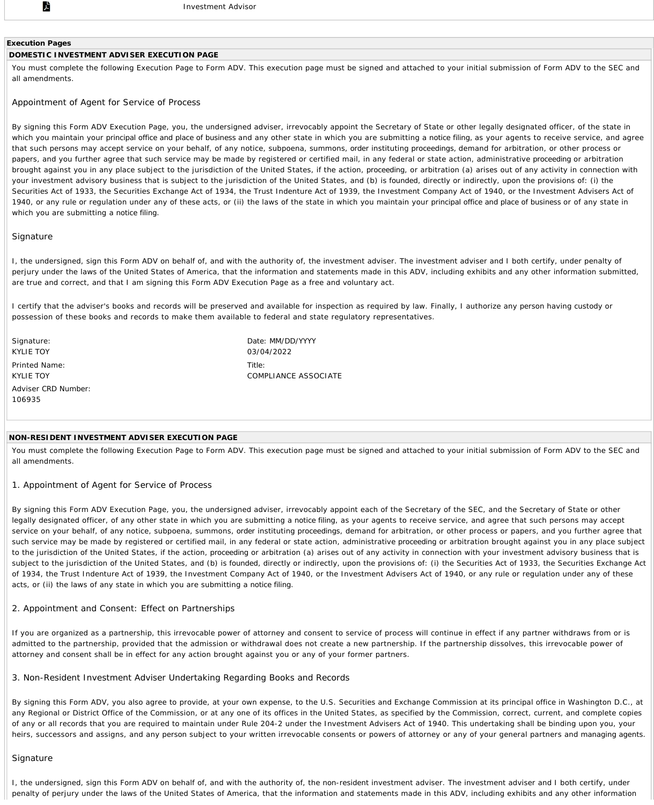### **Execution Pages**

# **DOMESTIC INVESTMENT ADVISER EXECUTION PAGE**

You must complete the following Execution Page to Form ADV. This execution page must be signed and attached to your initial submission of Form ADV to the SEC and all amendments.

# Appointment of Agent for Service of Process

By signing this Form ADV Execution Page, you, the undersigned adviser, irrevocably appoint the Secretary of State or other legally designated officer, of the state in which you maintain your *principal office and place of business* and any other state in which you are submitting a *notice filing*, as your agents to receive service, and agree that such *persons* may accept service on your behalf, of any notice, subpoena, summons, *order* instituting *proceedings*, demand for arbitration, or other process or papers, and you further agree that such service may be made by registered or certified mail, in any federal or state action, administrative *proceeding* or arbitration brought against you in any place subject to the jurisdiction of the United States, if the action, *proceeding*, or arbitration (a) arises out of any activity in connection with your investment advisory business that is subject to the jurisdiction of the United States, and (b) is *founded*, directly or indirectly, upon the provisions of: (i) the Securities Act of 1933, the Securities Exchange Act of 1934, the Trust Indenture Act of 1939, the Investment Company Act of 1940, or the Investment Advisers Act of 1940, or any rule or regulation under any of these acts, or (ii) the laws of the state in which you maintain your *principal office and place of business* or of any state in which you are submitting a *notice filing*.

# Signature

I, the undersigned, sign this Form ADV on behalf of, and with the authority of, the investment adviser. The investment adviser and I both certify, under penalty of perjury under the laws of the United States of America, that the information and statements made in this ADV, including exhibits and any other information submitted, are true and correct, and that I am signing this Form ADV Execution Page as a free and voluntary act.

I certify that the adviser's books and records will be preserved and available for inspection as required by law. Finally, I authorize any *person* having *custody* or possession of these books and records to make them available to federal and state regulatory representatives.

Signature: KYLIE TOY Printed Name: KYLIE TOY Adviser *CRD* Number: 106935

Date: MM/DD/YYYY 03/04/2022 Title: COMPLIANCE ASSOCIATE

# *NON-RESIDENT* **INVESTMENT ADVISER EXECUTION PAGE**

You must complete the following Execution Page to Form ADV. This execution page must be signed and attached to your initial submission of Form ADV to the SEC and all amendments.

# 1. Appointment of Agent for Service of Process

By signing this Form ADV Execution Page, you, the undersigned adviser, irrevocably appoint each of the Secretary of the SEC, and the Secretary of State or other legally designated officer, of any other state in which you are submitting a *notice filing*, as your agents to receive service, and agree that such persons may accept service on your behalf, of any notice, subpoena, summons, *order* instituting *proceedings*, demand for arbitration, or other process or papers, and you further agree that such service may be made by registered or certified mail, in any federal or state action, administrative *proceeding* or arbitration brought against you in any place subject to the jurisdiction of the United States, if the action, *proceeding* or arbitration (a) arises out of any activity in connection with your investment advisory business that is subject to the jurisdiction of the United States, and (b) is *founded*, directly or indirectly, upon the provisions of: (i) the Securities Act of 1933, the Securities Exchange Act of 1934, the Trust Indenture Act of 1939, the Investment Company Act of 1940, or the Investment Advisers Act of 1940, or any rule or regulation under any of these acts, or (ii) the laws of any state in which you are submitting a *notice filing*.

### 2. Appointment and Consent: Effect on Partnerships

If you are organized as a partnership, this irrevocable power of attorney and consent to service of process will continue in effect if any partner withdraws from or is admitted to the partnership, provided that the admission or withdrawal does not create a new partnership. If the partnership dissolves, this irrevocable power of attorney and consent shall be in effect for any action brought against you or any of your former partners.

# 3. *Non-Resident* Investment Adviser Undertaking Regarding Books and Records

By signing this Form ADV, you also agree to provide, at your own expense, to the U.S. Securities and Exchange Commission at its principal office in Washington D.C., at any Regional or District Office of the Commission, or at any one of its offices in the United States, as specified by the Commission, correct, current, and complete copies of any or all records that you are required to maintain under Rule 204-2 under the Investment Advisers Act of 1940. This undertaking shall be binding upon you, your heirs, successors and assigns, and any *person* subject to your written irrevocable consents or powers of attorney or any of your general partners and *managing agents*.

### Signature

I, the undersigned, sign this Form ADV on behalf of, and with the authority of, the *non-resident* investment adviser. The investment adviser and I both certify, under penalty of perjury under the laws of the United States of America, that the information and statements made in this ADV, including exhibits and any other information